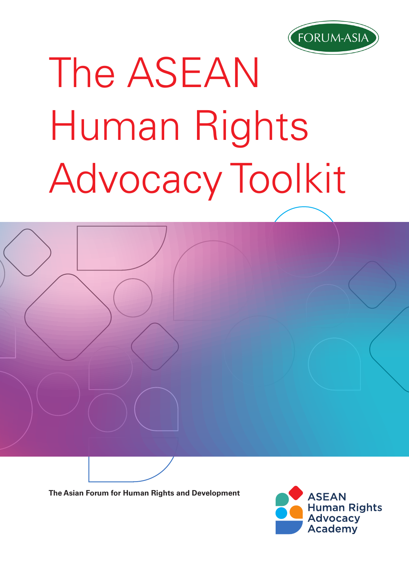

# The ASEAN Human Rights Advocacy Toolkit

**The Asian Forum for Human Rights and Development**

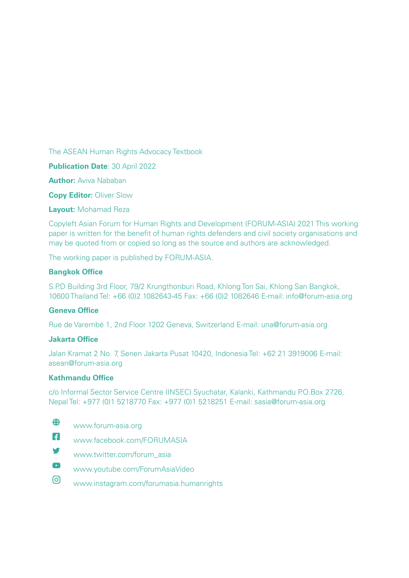The ASEAN Human Rights Advocacy Textbook

**Publication Date**: 30 April 2022

**Author: Aviva Nababan** 

**Copy Editor: Oliver Slow** 

**Layout:** Mohamad Reza

Copyleft Asian Forum for Human Rights and Development (FORUM-ASIA) 2021 This working paper is written for the benefit of human rights defenders and civil society organisations and may be quoted from or copied so long as the source and authors are acknowledged.

The working paper is published by FORUM-ASIA.

#### **Bangkok Office**

S.P.D Building 3rd Floor, 79/2 Krungthonburi Road, Khlong Ton Sai, Khlong San Bangkok, 10600 Thailand Tel: +66 (0)2 1082643-45 Fax: +66 (0)2 1082646 E-mail: info@forum-asia.org

#### **Geneva Office**

Rue de Varembé 1, 2nd Floor 1202 Geneva, Switzerland E-mail: una@forum-asia.org

#### **Jakarta Office**

Jalan Kramat 2 No. 7, Senen Jakarta Pusat 10420, Indonesia Tel: +62 21 3919006 E-mail: asean@forum-asia.org

#### **Kathmandu Office**

c/o Informal Sector Service Centre (INSEC) Syuchatar, Kalanki, Kathmandu P.O.Box 2726, Nepal Tel: +977 (0)1 5218770 Fax: +977 (0)1 5218251 E-mail: sasia@forum-asia.org

- ⊕ www.forum-asia.org
- $\mathbf{f}$ www.facebook.com/FORUMASIA
- V www.twitter.com/forum\_asia
- $\mathbf{L}$ www.youtube.com/ForumAsiaVideo
- $\Theta$ www.instagram.com/forumasia.humanrights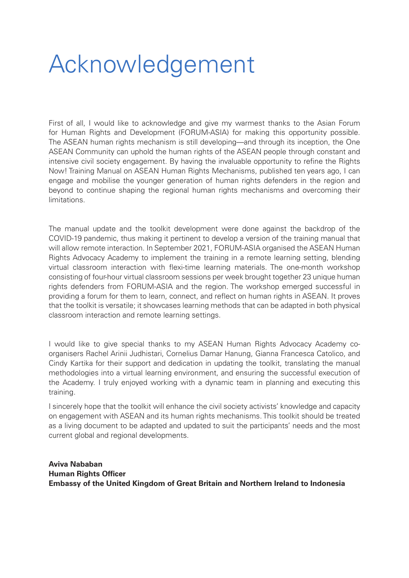### Acknowledgement

First of all, I would like to acknowledge and give my warmest thanks to the Asian Forum for Human Rights and Development (FORUM-ASIA) for making this opportunity possible. The ASEAN human rights mechanism is still developing—and through its inception, the One ASEAN Community can uphold the human rights of the ASEAN people through constant and intensive civil society engagement. By having the invaluable opportunity to refine the Rights Now! Training Manual on ASEAN Human Rights Mechanisms, published ten years ago, I can engage and mobilise the younger generation of human rights defenders in the region and beyond to continue shaping the regional human rights mechanisms and overcoming their limitations.

The manual update and the toolkit development were done against the backdrop of the COVID-19 pandemic, thus making it pertinent to develop a version of the training manual that will allow remote interaction. In September 2021, FORUM-ASIA organised the ASEAN Human Rights Advocacy Academy to implement the training in a remote learning setting, blending virtual classroom interaction with flexi-time learning materials. The one-month workshop consisting of four-hour virtual classroom sessions per week brought together 23 unique human rights defenders from FORUM-ASIA and the region. The workshop emerged successful in providing a forum for them to learn, connect, and reflect on human rights in ASEAN. It proves that the toolkit is versatile; it showcases learning methods that can be adapted in both physical classroom interaction and remote learning settings.

I would like to give special thanks to my ASEAN Human Rights Advocacy Academy coorganisers Rachel Arinii Judhistari, Cornelius Damar Hanung, Gianna Francesca Catolico, and Cindy Kartika for their support and dedication in updating the toolkit, translating the manual methodologies into a virtual learning environment, and ensuring the successful execution of the Academy. I truly enjoyed working with a dynamic team in planning and executing this training.

I sincerely hope that the toolkit will enhance the civil society activists' knowledge and capacity on engagement with ASEAN and its human rights mechanisms. This toolkit should be treated as a living document to be adapted and updated to suit the participants' needs and the most current global and regional developments.

**Aviva Nababan Human Rights Officer Embassy of the United Kingdom of Great Britain and Northern Ireland to Indonesia**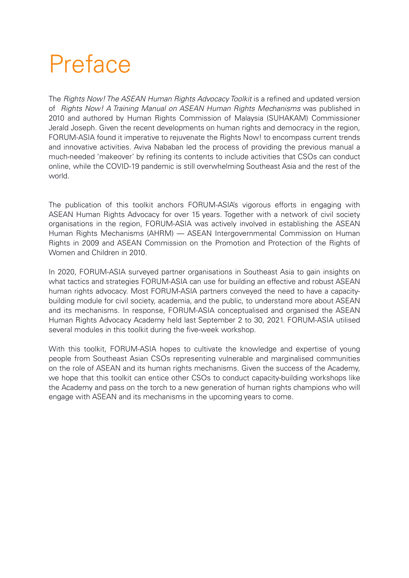### Preface

The *Rights Now! The ASEAN Human Rights Advocacy Toolkit* is a refined and updated version of *Rights Now! A Training Manual on ASEAN Human Rights Mechanisms* was published in 2010 and authored by Human Rights Commission of Malaysia (SUHAKAM) Commissioner Jerald Joseph. Given the recent developments on human rights and democracy in the region, FORUM-ASIA found it imperative to rejuvenate the Rights Now! to encompass current trends and innovative activities. Aviva Nababan led the process of providing the previous manual a much-needed 'makeover' by refining its contents to include activities that CSOs can conduct online, while the COVID-19 pandemic is still overwhelming Southeast Asia and the rest of the world.

The publication of this toolkit anchors FORUM-ASIA's vigorous efforts in engaging with ASEAN Human Rights Advocacy for over 15 years. Together with a network of civil society organisations in the region, FORUM-ASIA was actively involved in establishing the ASEAN Human Rights Mechanisms (AHRM) — ASEAN Intergovernmental Commission on Human Rights in 2009 and ASEAN Commission on the Promotion and Protection of the Rights of Women and Children in 2010.

In 2020, FORUM-ASIA surveyed partner organisations in Southeast Asia to gain insights on what tactics and strategies FORUM-ASIA can use for building an effective and robust ASEAN human rights advocacy. Most FORUM-ASIA partners conveyed the need to have a capacitybuilding module for civil society, academia, and the public, to understand more about ASEAN and its mechanisms. In response, FORUM-ASIA conceptualised and organised the ASEAN Human Rights Advocacy Academy held last September 2 to 30, 2021. FORUM-ASIA utilised several modules in this toolkit during the five-week workshop.

With this toolkit, FORUM-ASIA hopes to cultivate the knowledge and expertise of young people from Southeast Asian CSOs representing vulnerable and marginalised communities on the role of ASEAN and its human rights mechanisms. Given the success of the Academy, we hope that this toolkit can entice other CSOs to conduct capacity-building workshops like the Academy and pass on the torch to a new generation of human rights champions who will engage with ASEAN and its mechanisms in the upcoming years to come.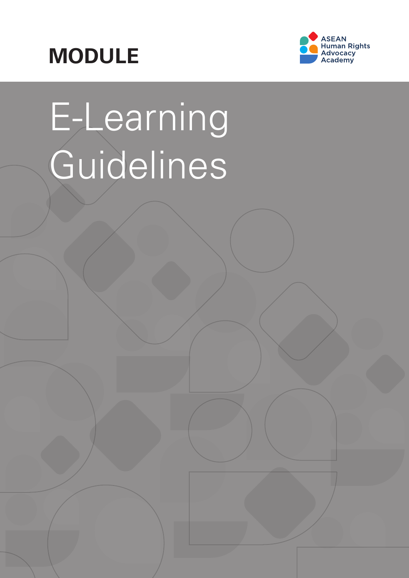



# E-Learning Guidelines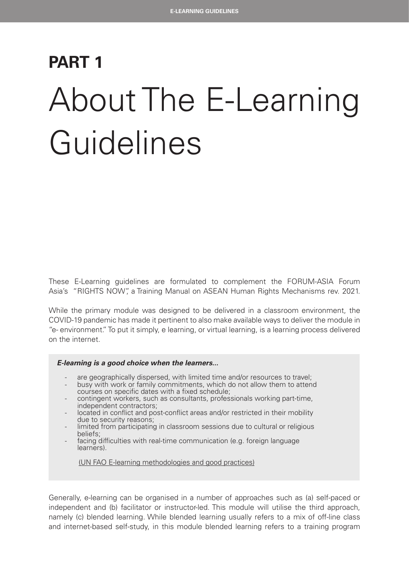## **PART 1**  About The E-Learning Guidelines

These E-Learning guidelines are formulated to complement the FORUM-ASIA Forum Asia's "RIGHTS NOW", a Training Manual on ASEAN Human Rights Mechanisms rev. 2021.

While the primary module was designed to be delivered in a classroom environment, the COVID-19 pandemic has made it pertinent to also make available ways to deliver the module in "e- environment." To put it simply, e learning, or virtual learning, is a learning process delivered on the internet.

#### *E-learning is a good choice when the learners...*

- 
- are geographically dispersed, with limited time and/or resources to travel; busy with work or family commitments, which do not allow them to attend courses on specific dates with a fixed schedule;
- contingent workers, such as consultants, professionals working part-time, independent contractors;
- located in conflict and post-conflict areas and/or restricted in their mobility due to security reasons;<br>limited from participating in classroom sessions due to cultural or religious
- beliefs;<br>facing difficulties with real-time communication (e.g. foreign language
- learners).

[\(UN FAO E-learning methodologies and good practices\)](http://www.fao.org/3/i2516e/i2516e.pdf)

Generally, e-learning can be organised in a number of approaches such as (a) self-paced or independent and (b) facilitator or instructor-led. This module will utilise the third approach, namely (c) blended learning. While blended learning usually refers to a mix of off-line class and internet-based self-study, in this module blended learning refers to a training program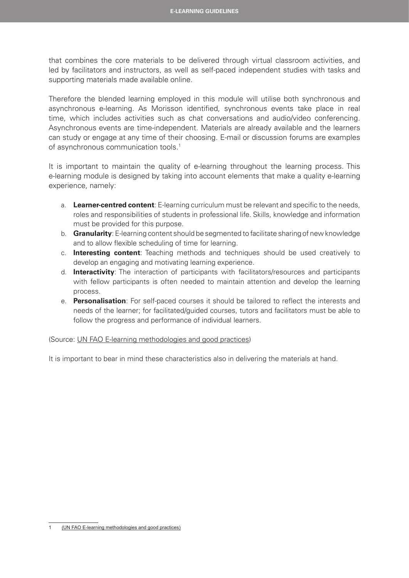that combines the core materials to be delivered through virtual classroom activities, and led by facilitators and instructors, as well as self-paced independent studies with tasks and supporting materials made available online.

Therefore the blended learning employed in this module will utilise both synchronous and asynchronous e-learning. As Morisson identified, synchronous events take place in real time, which includes activities such as chat conversations and audio/video conferencing. Asynchronous events are time-independent. Materials are already available and the learners can study or engage at any time of their choosing. E-mail or discussion forums are examples of asynchronous communication tools.<sup>1</sup>

It is important to maintain the quality of e-learning throughout the learning process. This e-learning module is designed by taking into account elements that make a quality e-learning experience, namely:

- a. **Learner-centred content**: E-learning curriculum must be relevant and specific to the needs, roles and responsibilities of students in professional life. Skills, knowledge and information must be provided for this purpose.
- b. **Granularity**: E-learning content should be segmented to facilitate sharing of new knowledge and to allow flexible scheduling of time for learning.
- c. **Interesting content**: Teaching methods and techniques should be used creatively to develop an engaging and motivating learning experience.
- d. **Interactivity**: The interaction of participants with facilitators/resources and participants with fellow participants is often needed to maintain attention and develop the learning process.
- e. **Personalisation**: For self-paced courses it should be tailored to reflect the interests and needs of the learner; for facilitated/guided courses, tutors and facilitators must be able to follow the progress and performance of individual learners.

#### (Source: [UN FAO E-learning methodologies and good practices\)](http://www.fao.org/3/i2516e/i2516e.pdf)

It is important to bear in mind these characteristics also in delivering the materials at hand.

[<sup>\(</sup>UN FAO E-learning methodologies and good practices\)](http://www.fao.org/3/i2516e/i2516e.pdf)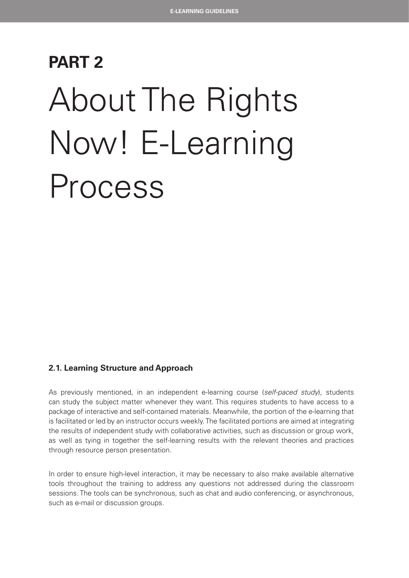## **PART 2** About The Rights Now! E-Learning Process

#### **2.1. Learning Structure and Approach**

As previously mentioned, in an independent e-learning course (*self-paced study*), students can study the subject matter whenever they want. This requires students to have access to a package of interactive and self-contained materials. Meanwhile, the portion of the e-learning that is facilitated or led by an instructor occurs weekly. The facilitated portions are aimed at integrating the results of independent study with collaborative activities, such as discussion or group work, as well as tying in together the self-learning results with the relevant theories and practices through resource person presentation.

In order to ensure high-level interaction, it may be necessary to also make available alternative tools throughout the training to address any questions not addressed during the classroom sessions. The tools can be synchronous, such as chat and audio conferencing, or asynchronous, such as e-mail or discussion groups.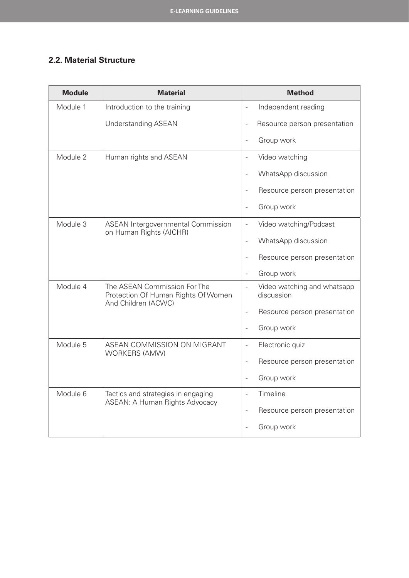#### **2.2. Material Structure**

| <b>Module</b> | <b>Material</b>                                                                            | <b>Method</b>                                               |  |
|---------------|--------------------------------------------------------------------------------------------|-------------------------------------------------------------|--|
| Module 1      | Introduction to the training                                                               | Independent reading<br>$\overline{\phantom{0}}$             |  |
|               | <b>Understanding ASEAN</b>                                                                 | Resource person presentation                                |  |
|               |                                                                                            | Group work                                                  |  |
| Module 2      | Human rights and ASEAN                                                                     | Video watching<br>$\overline{a}$                            |  |
|               |                                                                                            | WhatsApp discussion                                         |  |
|               |                                                                                            | Resource person presentation<br>$\overline{a}$              |  |
|               |                                                                                            | Group work                                                  |  |
| Module 3      | ASEAN Intergovernmental Commission<br>on Human Rights (AICHR)                              | Video watching/Podcast<br>$\overline{\phantom{0}}$          |  |
|               |                                                                                            | WhatsApp discussion<br>$\overline{\phantom{m}}$             |  |
|               |                                                                                            | Resource person presentation<br>$\overline{a}$              |  |
|               |                                                                                            | Group work<br>$\overline{\phantom{0}}$                      |  |
| Module 4      | The ASEAN Commission For The<br>Protection Of Human Rights Of Women<br>And Children (ACWC) | Video watching and whatsapp<br>$\overline{a}$<br>discussion |  |
|               |                                                                                            | Resource person presentation<br>$\overline{\phantom{m}}$    |  |
|               |                                                                                            | Group work                                                  |  |
| Module 5      | ASEAN COMMISSION ON MIGRANT<br><b>WORKERS (AMW)</b>                                        | Electronic quiz<br>$\overline{\phantom{m}}$                 |  |
|               |                                                                                            | Resource person presentation                                |  |
|               |                                                                                            | Group work<br>$\overline{\phantom{a}}$                      |  |
| Module 6      | Tactics and strategies in engaging<br><b>ASEAN: A Human Rights Advocacy</b>                | Timeline<br>$\overline{\phantom{0}}$                        |  |
|               |                                                                                            | Resource person presentation                                |  |
|               |                                                                                            | Group work                                                  |  |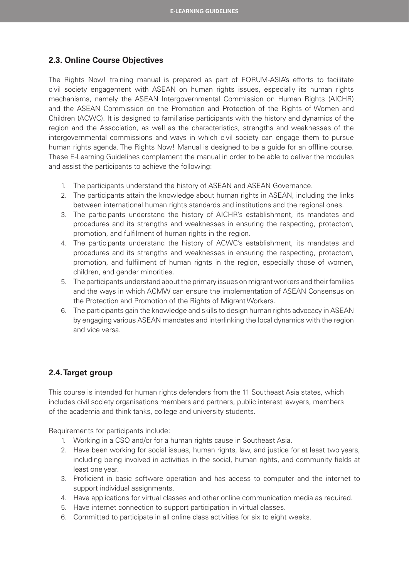#### **2.3. Online Course Objectives**

The Rights Now! training manual is prepared as part of FORUM-ASIA's efforts to facilitate civil society engagement with ASEAN on human rights issues, especially its human rights mechanisms, namely the ASEAN Intergovernmental Commission on Human Rights (AICHR) and the ASEAN Commission on the Promotion and Protection of the Rights of Women and Children (ACWC). It is designed to familiarise participants with the history and dynamics of the region and the Association, as well as the characteristics, strengths and weaknesses of the intergovernmental commissions and ways in which civil society can engage them to pursue human rights agenda. The Rights Now! Manual is designed to be a guide for an offline course. These E-Learning Guidelines complement the manual in order to be able to deliver the modules and assist the participants to achieve the following:

- 1. The participants understand the history of ASEAN and ASEAN Governance.
- 2. The participants attain the knowledge about human rights in ASEAN, including the links between international human rights standards and institutions and the regional ones.
- 3. The participants understand the history of AICHR's establishment, its mandates and procedures and its strengths and weaknesses in ensuring the respecting, protectom, promotion, and fulfilment of human rights in the region.
- 4. The participants understand the history of ACWC's establishment, its mandates and procedures and its strengths and weaknesses in ensuring the respecting, protectom, promotion, and fulfilment of human rights in the region, especially those of women, children, and gender minorities.
- 5. The participants understand about the primary issues on migrant workers and their families and the ways in which ACMW can ensure the implementation of ASEAN Consensus on the Protection and Promotion of the Rights of Migrant Workers.
- 6. The participants gain the knowledge and skills to design human rights advocacy in ASEAN by engaging various ASEAN mandates and interlinking the local dynamics with the region and vice versa.

#### **2.4. Target group**

This course is intended for human rights defenders from the 11 Southeast Asia states, which includes civil society organisations members and partners, public interest lawyers, members of the academia and think tanks, college and university students.

Requirements for participants include:

- 1. Working in a CSO and/or for a human rights cause in Southeast Asia.
- 2. Have been working for social issues, human rights, law, and justice for at least two years, including being involved in activities in the social, human rights, and community fields at least one year.
- 3. Proficient in basic software operation and has access to computer and the internet to support individual assignments.
- 4. Have applications for virtual classes and other online communication media as required.
- 5. Have internet connection to support participation in virtual classes.
- 6. Committed to participate in all online class activities for six to eight weeks.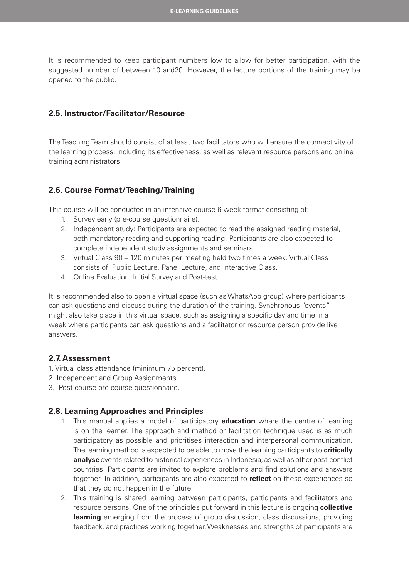It is recommended to keep participant numbers low to allow for better participation, with the suggested number of between 10 and20. However, the lecture portions of the training may be opened to the public.

#### **2.5. Instructor/Facilitator/Resource**

The Teaching Team should consist of at least two facilitators who will ensure the connectivity of the learning process, including its effectiveness, as well as relevant resource persons and online training administrators.

#### **2.6. Course Format/Teaching/Training**

This course will be conducted in an intensive course 6-week format consisting of:

- 1. Survey early (pre-course questionnaire).
- 2. Independent study: Participants are expected to read the assigned reading material, both mandatory reading and supporting reading. Participants are also expected to complete independent study assignments and seminars.
- 3. Virtual Class 90 120 minutes per meeting held two times a week. Virtual Class consists of: Public Lecture, Panel Lecture, and Interactive Class.
- 4. Online Evaluation: Initial Survey and Post-test.

It is recommended also to open a virtual space (such as WhatsApp group) where participants can ask questions and discuss during the duration of the training. Synchronous "events" might also take place in this virtual space, such as assigning a specific day and time in a week where participants can ask questions and a facilitator or resource person provide live answers.

#### **2.7. Assessment**

- 1. Virtual class attendance (minimum 75 percent).
- 2. Independent and Group Assignments.
- 3. Post-course pre-course questionnaire.

#### **2.8. Learning Approaches and Principles**

- 1. This manual applies a model of participatory **education** where the centre of learning is on the learner. The approach and method or facilitation technique used is as much participatory as possible and prioritises interaction and interpersonal communication. The learning method is expected to be able to move the learning participants to **critically analyse** events related to historical experiences in Indonesia, as well as other post-conflict countries. Participants are invited to explore problems and find solutions and answers together. In addition, participants are also expected to **reflect** on these experiences so that they do not happen in the future.
- 2. This training is shared learning between participants, participants and facilitators and resource persons. One of the principles put forward in this lecture is ongoing **collective learning** emerging from the process of group discussion, class discussions, providing feedback, and practices working together. Weaknesses and strengths of participants are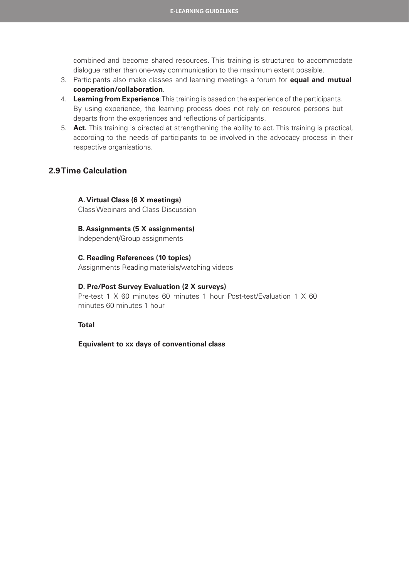combined and become shared resources. This training is structured to accommodate dialogue rather than one-way communication to the maximum extent possible.

- 3. Participants also make classes and learning meetings a forum for **equal and mutual cooperation/collaboration**.
- 4. **Learning from Experience**: This training is based on the experience of the participants. By using experience, the learning process does not rely on resource persons but departs from the experiences and reflections of participants.
- 5. **Act.** This training is directed at strengthening the ability to act. This training is practical, according to the needs of participants to be involved in the advocacy process in their respective organisations.

#### **2.9 Time Calculation**

#### **A. Virtual Class (6 X meetings)**

Class Webinars and Class Discussion

#### **B. Assignments (5 X assignments)**

Independent/Group assignments

#### **C. Reading References (10 topics)**

Assignments Reading materials/watching videos

#### **D. Pre/Post Survey Evaluation (2 X surveys)**

Pre-test 1 X 60 minutes 60 minutes 1 hour Post-test/Evaluation 1 X 60 minutes 60 minutes 1 hour

#### **Total**

**Equivalent to xx days of conventional class**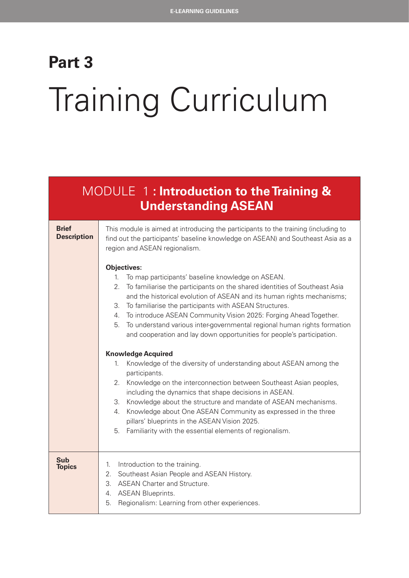### **Part 3** Training Curriculum

| MODULE 1: Introduction to the Training &<br><b>Understanding ASEAN</b> |                                                                                                                                                                                                                                                                                                                                                                                                                                                                                                                                                                                                                                                                                                                                                                                                                                                                      |  |  |
|------------------------------------------------------------------------|----------------------------------------------------------------------------------------------------------------------------------------------------------------------------------------------------------------------------------------------------------------------------------------------------------------------------------------------------------------------------------------------------------------------------------------------------------------------------------------------------------------------------------------------------------------------------------------------------------------------------------------------------------------------------------------------------------------------------------------------------------------------------------------------------------------------------------------------------------------------|--|--|
| <b>Brief</b><br><b>Description</b>                                     | This module is aimed at introducing the participants to the training (including to<br>find out the participants' baseline knowledge on ASEAN) and Southeast Asia as a<br>region and ASEAN regionalism.<br><b>Objectives:</b><br>To map participants' baseline knowledge on ASEAN.<br>1.<br>To familiarise the participants on the shared identities of Southeast Asia<br>2.<br>and the historical evolution of ASEAN and its human rights mechanisms;<br>To familiarise the participants with ASEAN Structures.<br>3.<br>To introduce ASEAN Community Vision 2025: Forging Ahead Together.<br>4.<br>To understand various inter-governmental regional human rights formation<br>5.<br>and cooperation and lay down opportunities for people's participation.<br><b>Knowledge Acquired</b><br>Knowledge of the diversity of understanding about ASEAN among the<br>1. |  |  |
|                                                                        | participants.<br>Knowledge on the interconnection between Southeast Asian peoples,<br>2.<br>including the dynamics that shape decisions in ASEAN.<br>Knowledge about the structure and mandate of ASEAN mechanisms.<br>3.<br>Knowledge about One ASEAN Community as expressed in the three<br>4.<br>pillars' blueprints in the ASEAN Vision 2025.<br>Familiarity with the essential elements of regionalism.<br>5.                                                                                                                                                                                                                                                                                                                                                                                                                                                   |  |  |
| <b>Sub</b><br><b>Topics</b>                                            | 1.<br>Introduction to the training.<br>Southeast Asian People and ASEAN History.<br>2.<br><b>ASEAN Charter and Structure.</b><br>3.<br>4. ASEAN Blueprints.<br>5.<br>Regionalism: Learning from other experiences.                                                                                                                                                                                                                                                                                                                                                                                                                                                                                                                                                                                                                                                   |  |  |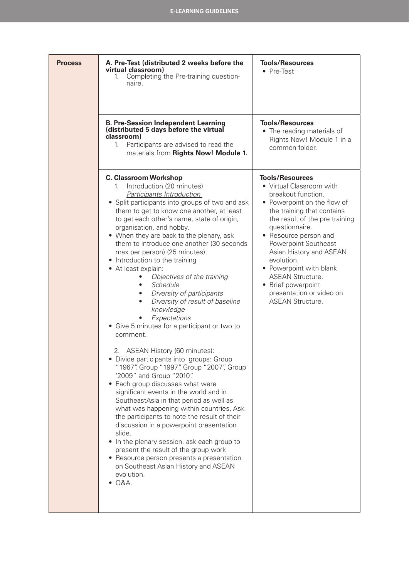| <b>Process</b> | A. Pre-Test (distributed 2 weeks before the<br>virtual classroom)<br>Completing the Pre-training question-<br>1.<br>naire.                                                                                                                                                                                                                                                                                                                                                                                                                                                                                                                                                                                                                                                                                                                                                                                                                                                                                                                                                                                                                                                                                                                                                                                                | <b>Tools/Resources</b><br>• Pre-Test                                                                                                                                                                                                                                                                                                                                                                                   |
|----------------|---------------------------------------------------------------------------------------------------------------------------------------------------------------------------------------------------------------------------------------------------------------------------------------------------------------------------------------------------------------------------------------------------------------------------------------------------------------------------------------------------------------------------------------------------------------------------------------------------------------------------------------------------------------------------------------------------------------------------------------------------------------------------------------------------------------------------------------------------------------------------------------------------------------------------------------------------------------------------------------------------------------------------------------------------------------------------------------------------------------------------------------------------------------------------------------------------------------------------------------------------------------------------------------------------------------------------|------------------------------------------------------------------------------------------------------------------------------------------------------------------------------------------------------------------------------------------------------------------------------------------------------------------------------------------------------------------------------------------------------------------------|
|                | <b>B. Pre-Session Independent Learning</b><br>(distributed 5 days before the virtual<br>classroom)<br>Participants are advised to read the<br>1.<br>materials from Rights Now! Module 1.                                                                                                                                                                                                                                                                                                                                                                                                                                                                                                                                                                                                                                                                                                                                                                                                                                                                                                                                                                                                                                                                                                                                  | <b>Tools/Resources</b><br>• The reading materials of<br>Rights Now! Module 1 in a<br>common folder.                                                                                                                                                                                                                                                                                                                    |
|                | <b>C. Classroom Workshop</b><br>Introduction (20 minutes)<br>1.<br><b>Participants Introduction</b><br>• Split participants into groups of two and ask<br>them to get to know one another, at least<br>to get each other's name, state of origin,<br>organisation, and hobby.<br>• When they are back to the plenary, ask<br>them to introduce one another (30 seconds<br>max per person) (25 minutes).<br>• Introduction to the training<br>• At least explain:<br>Objectives of the training<br>Schedule<br>Diversity of participants<br>Diversity of result of baseline<br>knowledge<br>Expectations<br>• Give 5 minutes for a participant or two to<br>comment.<br>2. ASEAN History (60 minutes):<br>• Divide participants into groups: Group<br>"1967", Group "1997", Group "2007", Group<br>'2009" and Group "2010".<br>Each group discusses what were<br>significant events in the world and in<br>SoutheastAsia in that period as well as<br>what was happening within countries. Ask<br>the participants to note the result of their<br>discussion in a powerpoint presentation<br>slide.<br>In the plenary session, ask each group to<br>$\bullet$<br>present the result of the group work<br>• Resource person presents a presentation<br>on Southeast Asian History and ASEAN<br>evolution.<br>$\bullet$ Q&A. | <b>Tools/Resources</b><br>• Virtual Classroom with<br>breakout function.<br>• Powerpoint on the flow of<br>the training that contains<br>the result of the pre training<br>questionnaire.<br>• Resource person and<br>Powerpoint Southeast<br>Asian History and ASEAN<br>evolution.<br>• Powerpoint with blank<br><b>ASEAN Structure.</b><br>• Brief powerpoint<br>presentation or video on<br><b>ASEAN Structure.</b> |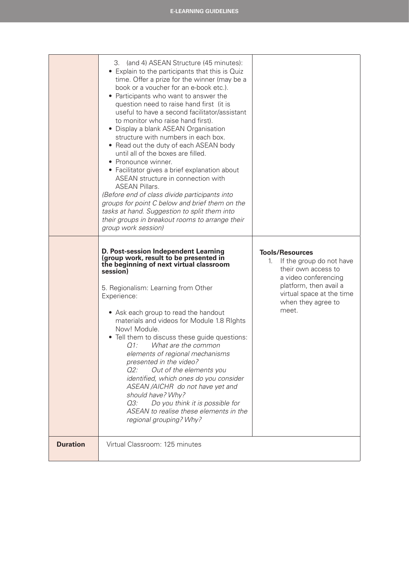|                 | (and 4) ASEAN Structure (45 minutes):<br>З.<br>• Explain to the participants that this is Quiz<br>time. Offer a prize for the winner (may be a<br>book or a voucher for an e-book etc.).<br>• Participants who want to answer the<br>question need to raise hand first (it is<br>useful to have a second facilitator/assistant<br>to monitor who raise hand first).<br>• Display a blank ASEAN Organisation<br>structure with numbers in each box.<br>• Read out the duty of each ASEAN body<br>until all of the boxes are filled.<br>• Pronounce winner.<br>• Facilitator gives a brief explanation about<br>ASEAN structure in connection with<br><b>ASEAN Pillars.</b><br>(Before end of class divide participants into<br>groups for point C below and brief them on the<br>tasks at hand. Suggestion to split them into<br>their groups in breakout rooms to arrange their<br>group work session) |                                                                                                                                                                                               |
|-----------------|--------------------------------------------------------------------------------------------------------------------------------------------------------------------------------------------------------------------------------------------------------------------------------------------------------------------------------------------------------------------------------------------------------------------------------------------------------------------------------------------------------------------------------------------------------------------------------------------------------------------------------------------------------------------------------------------------------------------------------------------------------------------------------------------------------------------------------------------------------------------------------------------------------|-----------------------------------------------------------------------------------------------------------------------------------------------------------------------------------------------|
|                 | D. Post-session Independent Learning<br>(group work, result to be presented in<br>the beginning of next virtual classroom<br>session)<br>5. Regionalism: Learning from Other<br>Experience:<br>• Ask each group to read the handout<br>materials and videos for Module 1.8 Rights<br>Now! Module.<br>• Tell them to discuss these guide questions:<br>What are the common<br>$O1$ :<br>elements of regional mechanisms<br>presented in the video?<br>O2:<br>Out of the elements you<br>identified, which ones do you consider<br>ASEAN /AICHR do not have yet and<br>should have? Why?<br>Q3:<br>Do you think it is possible for<br>ASEAN to realise these elements in the<br>regional grouping? Why?                                                                                                                                                                                                  | <b>Tools/Resources</b><br>If the group do not have<br>1.<br>their own access to<br>a video conferencing<br>platform, then avail a<br>virtual space at the time<br>when they agree to<br>meet. |
| <b>Duration</b> | Virtual Classroom: 125 minutes                                                                                                                                                                                                                                                                                                                                                                                                                                                                                                                                                                                                                                                                                                                                                                                                                                                                         |                                                                                                                                                                                               |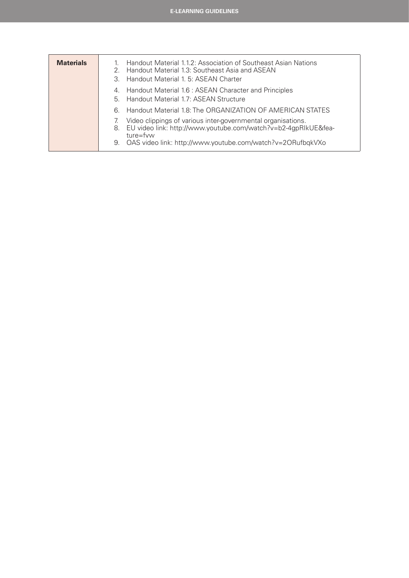| <b>Materials</b> | Handout Material 1.1.2: Association of Southeast Asian Nations<br>2. Handout Material 1.3: Southeast Asia and ASEAN<br>Handout Material 1. 5: ASEAN Charter<br>3. |
|------------------|-------------------------------------------------------------------------------------------------------------------------------------------------------------------|
|                  | 4. Handout Material 1.6 : ASEAN Character and Principles<br>5. Handout Material 1.7: ASEAN Structure                                                              |
|                  | Handout Material 1.8: The ORGANIZATION OF AMERICAN STATES<br>6.                                                                                                   |
|                  | Video clippings of various inter-governmental organisations.<br>7.<br>8. EU video link: http://www.youtube.com/watch?v=b2-4gpRIkUE&fea-<br>ture=fvw               |
|                  | 9. OAS video link: http://www.youtube.com/watch?v=2ORufbqkVXo                                                                                                     |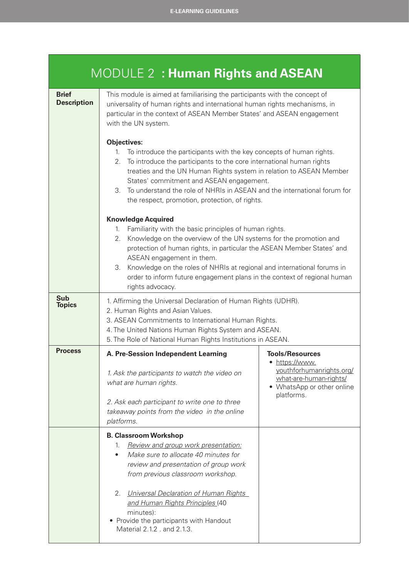|                                    | MODULE 2: Human Rights and ASEAN                                                                                                                                                                                                                                                                                                                                                                                                                                                                                                                                                                                                                                                                   |                                                                                                                                          |
|------------------------------------|----------------------------------------------------------------------------------------------------------------------------------------------------------------------------------------------------------------------------------------------------------------------------------------------------------------------------------------------------------------------------------------------------------------------------------------------------------------------------------------------------------------------------------------------------------------------------------------------------------------------------------------------------------------------------------------------------|------------------------------------------------------------------------------------------------------------------------------------------|
| <b>Brief</b><br><b>Description</b> | This module is aimed at familiarising the participants with the concept of<br>universality of human rights and international human rights mechanisms, in<br>particular in the context of ASEAN Member States' and ASEAN engagement<br>with the UN system.<br><b>Objectives:</b><br>To introduce the participants with the key concepts of human rights.<br>1.<br>To introduce the participants to the core international human rights<br>2.<br>treaties and the UN Human Rights system in relation to ASEAN Member<br>States' commitment and ASEAN engagement.<br>To understand the role of NHRIs in ASEAN and the international forum for<br>3.<br>the respect, promotion, protection, of rights. |                                                                                                                                          |
|                                    | <b>Knowledge Acquired</b><br>Familiarity with the basic principles of human rights.<br>1.<br>2.<br>Knowledge on the overview of the UN systems for the promotion and<br>protection of human rights, in particular the ASEAN Member States' and<br>ASEAN engagement in them.<br>3.<br>Knowledge on the roles of NHRIs at regional and international forums in<br>order to inform future engagement plans in the context of regional human<br>rights advocacy.                                                                                                                                                                                                                                       |                                                                                                                                          |
| Sub<br><b>Topics</b>               | 1. Affirming the Universal Declaration of Human Rights (UDHR).<br>2. Human Rights and Asian Values.<br>3. ASEAN Commitments to International Human Rights.<br>4. The United Nations Human Rights System and ASEAN.<br>5. The Role of National Human Rights Institutions in ASEAN.                                                                                                                                                                                                                                                                                                                                                                                                                  |                                                                                                                                          |
| <b>Process</b>                     | A. Pre-Session Independent Learning<br>1. Ask the participants to watch the video on<br>what are human rights.<br>2. Ask each participant to write one to three<br>takeaway points from the video in the online<br>platforms.                                                                                                                                                                                                                                                                                                                                                                                                                                                                      | <b>Tools/Resources</b><br>• https://www.<br>youthforhumanrights.org/<br>what-are-human-rights/<br>WhatsApp or other online<br>platforms. |
|                                    | <b>B. Classroom Workshop</b><br>Review and group work presentation:<br>1.<br>Make sure to allocate 40 minutes for<br>$\bullet$<br>review and presentation of group work<br>from previous classroom workshop.<br>2.<br>Universal Declaration of Human Rights<br>and Human Rights Principles (40<br>minutes):<br>• Provide the participants with Handout<br>Material 2.1.2 . and 2.1.3.                                                                                                                                                                                                                                                                                                              |                                                                                                                                          |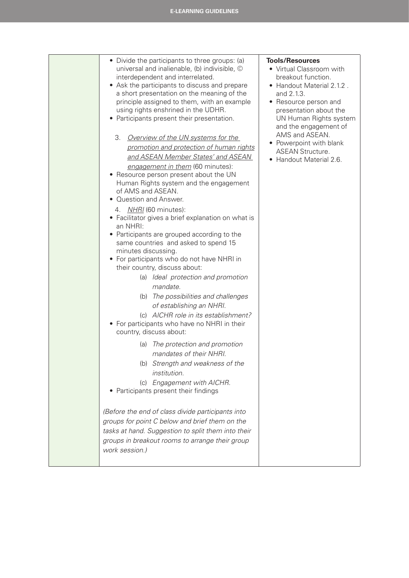| • Divide the participants to three groups: (a)<br>universal and inalienable, (b) indivisible, ©<br>interdependent and interrelated.<br>• Ask the participants to discuss and prepare<br>a short presentation on the meaning of the<br>principle assigned to them, with an example<br>using rights enshrined in the UDHR.<br>• Participants present their presentation.<br>3.<br>Overview of the UN systems for the<br>promotion and protection of human rights<br>and ASEAN Member States' and ASEAN<br>engagement in them (60 minutes):<br>• Resource person present about the UN<br>Human Rights system and the engagement<br>of AMS and ASEAN.<br>• Question and Answer.<br>4. NHRI (60 minutes):<br>• Facilitator gives a brief explanation on what is<br>an NHRI:<br>• Participants are grouped according to the<br>same countries and asked to spend 15<br>minutes discussing.<br>• For participants who do not have NHRI in<br>their country, discuss about:<br>(a) Ideal protection and promotion<br>mandate.<br>(b) The possibilities and challenges<br>of establishing an NHRI.<br>(c) AICHR role in its establishment?<br>• For participants who have no NHRI in their<br>country, discuss about:<br>The protection and promotion<br>(a)<br>mandates of their NHRI.<br>(b) Strength and weakness of the | <b>Tools/Resources</b><br>• Virtual Classroom with<br>breakout function.<br>• Handout Material 2.1.2.<br>and 2.1.3.<br>• Resource person and<br>presentation about the<br>UN Human Rights system<br>and the engagement of<br>AMS and ASEAN.<br>• Powerpoint with blank<br><b>ASEAN Structure.</b><br>• Handout Material 2.6. |
|--------------------------------------------------------------------------------------------------------------------------------------------------------------------------------------------------------------------------------------------------------------------------------------------------------------------------------------------------------------------------------------------------------------------------------------------------------------------------------------------------------------------------------------------------------------------------------------------------------------------------------------------------------------------------------------------------------------------------------------------------------------------------------------------------------------------------------------------------------------------------------------------------------------------------------------------------------------------------------------------------------------------------------------------------------------------------------------------------------------------------------------------------------------------------------------------------------------------------------------------------------------------------------------------------------------------|------------------------------------------------------------------------------------------------------------------------------------------------------------------------------------------------------------------------------------------------------------------------------------------------------------------------------|
| institution.<br>(c)                                                                                                                                                                                                                                                                                                                                                                                                                                                                                                                                                                                                                                                                                                                                                                                                                                                                                                                                                                                                                                                                                                                                                                                                                                                                                                |                                                                                                                                                                                                                                                                                                                              |
| Engagement with AICHR.<br>• Participants present their findings<br>(Before the end of class divide participants into                                                                                                                                                                                                                                                                                                                                                                                                                                                                                                                                                                                                                                                                                                                                                                                                                                                                                                                                                                                                                                                                                                                                                                                               |                                                                                                                                                                                                                                                                                                                              |
| groups for point C below and brief them on the<br>tasks at hand. Suggestion to split them into their<br>groups in breakout rooms to arrange their group<br>work session.)                                                                                                                                                                                                                                                                                                                                                                                                                                                                                                                                                                                                                                                                                                                                                                                                                                                                                                                                                                                                                                                                                                                                          |                                                                                                                                                                                                                                                                                                                              |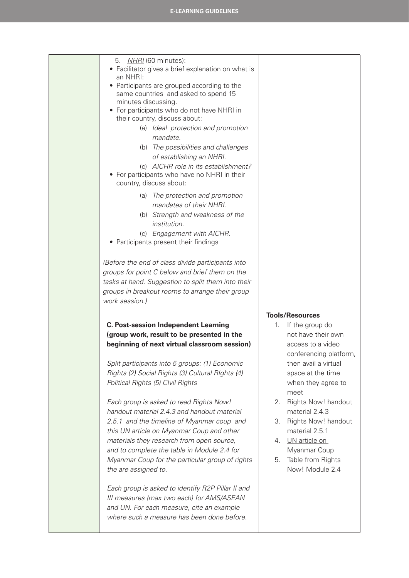| NHRI (60 minutes):<br>5.<br>Facilitator gives a brief explanation on what is<br>an NHRI:<br>Participants are grouped according to the<br>same countries and asked to spend 15<br>minutes discussing.<br>• For participants who do not have NHRI in<br>their country, discuss about:<br>(a) Ideal protection and promotion<br>mandate.<br>(b) The possibilities and challenges<br>of establishing an NHRI.<br>(c) AICHR role in its establishment?<br>• For participants who have no NHRI in their<br>country, discuss about:<br>(a) The protection and promotion<br>mandates of their NHRI.<br>(b) Strength and weakness of the<br>institution.<br>(c) Engagement with AICHR.<br>• Participants present their findings<br>(Before the end of class divide participants into<br>groups for point C below and brief them on the<br>tasks at hand. Suggestion to split them into their<br>groups in breakout rooms to arrange their group<br>work session.) |                                                                                                                                                                                                                                                                                                                                                                                        |
|----------------------------------------------------------------------------------------------------------------------------------------------------------------------------------------------------------------------------------------------------------------------------------------------------------------------------------------------------------------------------------------------------------------------------------------------------------------------------------------------------------------------------------------------------------------------------------------------------------------------------------------------------------------------------------------------------------------------------------------------------------------------------------------------------------------------------------------------------------------------------------------------------------------------------------------------------------|----------------------------------------------------------------------------------------------------------------------------------------------------------------------------------------------------------------------------------------------------------------------------------------------------------------------------------------------------------------------------------------|
| <b>C. Post-session Independent Learning</b><br>(group work, result to be presented in the<br>beginning of next virtual classroom session)<br>Split participants into 5 groups: (1) Economic<br>Rights (2) Social Rights (3) Cultural RIghts (4)<br>Political Rights (5) Clvil Rights<br>Each group is asked to read Rights Now!<br>handout material 2.4.3 and handout material<br>2.5.1 and the timeline of Myanmar coup and<br>this UN article on Myanmar Coup and other<br>materials they research from open source,<br>and to complete the table in Module 2.4 for<br>Myanmar Coup for the particular group of rights<br>the are assigned to.<br>Each group is asked to identify R2P Pillar II and<br>III measures (max two each) for AMS/ASEAN<br>and UN. For each measure, cite an example<br>where such a measure has been done before.                                                                                                            | <b>Tools/Resources</b><br>If the group do<br>1.<br>not have their own<br>access to a video<br>conferencing platform,<br>then avail a virtual<br>space at the time<br>when they agree to<br>meet<br>Rights Now! handout<br>2.<br>material 2.4.3<br>Rights Now! handout<br>З.<br>material 2.5.1<br>4. UN article on<br><b>Myanmar Coup</b><br>Table from Rights<br>5.<br>Now! Module 2.4 |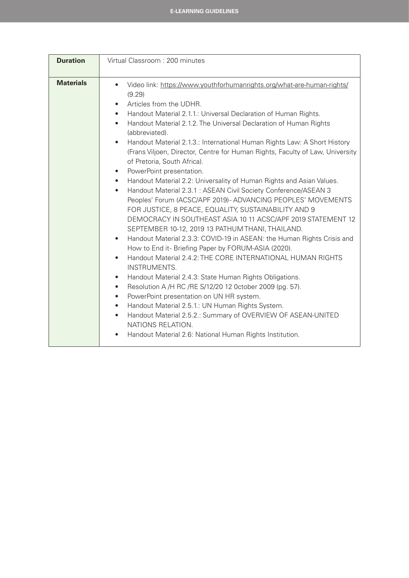| <b>Duration</b>  | Virtual Classroom: 200 minutes                                                                                                                                                                                                                                                                                                                                                                                                                                                                                                                                                                                                                                                                                                                                                                                                                                                                                                                                                                                                                                                                                                                                                                                                                                                                                                                                                                                                                                                                                                                                                            |  |
|------------------|-------------------------------------------------------------------------------------------------------------------------------------------------------------------------------------------------------------------------------------------------------------------------------------------------------------------------------------------------------------------------------------------------------------------------------------------------------------------------------------------------------------------------------------------------------------------------------------------------------------------------------------------------------------------------------------------------------------------------------------------------------------------------------------------------------------------------------------------------------------------------------------------------------------------------------------------------------------------------------------------------------------------------------------------------------------------------------------------------------------------------------------------------------------------------------------------------------------------------------------------------------------------------------------------------------------------------------------------------------------------------------------------------------------------------------------------------------------------------------------------------------------------------------------------------------------------------------------------|--|
| <b>Materials</b> | Video link: https://www.youthforhumanrights.org/what-are-human-rights/<br>$\bullet$<br>(9.29)<br>Articles from the UDHR.<br>Handout Material 2.1.1.: Universal Declaration of Human Rights.<br>Handout Material 2.1.2. The Universal Declaration of Human Rights<br>$\bullet$<br>(abbreviated).<br>Handout Material 2.1.3.: International Human Rights Law: A Short History<br>$\bullet$<br>(Frans Viljoen, Director, Centre for Human Rights, Faculty of Law, University<br>of Pretoria, South Africa).<br>PowerPoint presentation.<br>Handout Material 2.2: Universality of Human Rights and Asian Values.<br>Handout Material 2.3.1: ASEAN Civil Society Conference/ASEAN 3<br>Peoples' Forum (ACSC/APF 2019)- ADVANCING PEOPLES' MOVEMENTS<br>FOR JUSTICE, 8 PEACE, EQUALITY, SUSTAINABILITY AND 9<br>DEMOCRACY IN SOUTHEAST ASIA 10 11 ACSC/APF 2019 STATEMENT 12<br>SEPTEMBER 10-12, 2019 13 PATHUM THANI, THAILAND.<br>Handout Material 2.3.3: COVID-19 in ASEAN: the Human Rights Crisis and<br>How to End it-Briefing Paper by FORUM-ASIA (2020).<br>Handout Material 2.4.2: THE CORE INTERNATIONAL HUMAN RIGHTS<br><b>INSTRUMENTS.</b><br>Handout Material 2.4.3: State Human Rights Obligations.<br>Resolution A /H RC /RE S/12/20 12 0ctober 2009 (pg. 57).<br>$\bullet$<br>PowerPoint presentation on UN HR system.<br>$\bullet$<br>Handout Material 2.5.1.: UN Human Rights System.<br>$\bullet$<br>Handout Material 2.5.2.: Summary of OVERVIEW OF ASEAN-UNITED<br>$\bullet$<br>NATIONS RELATION.<br>Handout Material 2.6: National Human Rights Institution.<br>$\bullet$ |  |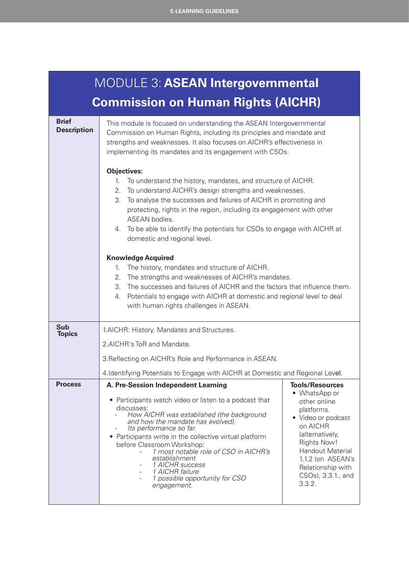|                                                                                                                                                                                                                                                                                                                                                                                                                                          | MODULE 3: ASEAN Intergovernmental                                                                                                                                                                                                                                                                                                                                                                                                                                  |                                                                                                                                                                                                                                                |  |
|------------------------------------------------------------------------------------------------------------------------------------------------------------------------------------------------------------------------------------------------------------------------------------------------------------------------------------------------------------------------------------------------------------------------------------------|--------------------------------------------------------------------------------------------------------------------------------------------------------------------------------------------------------------------------------------------------------------------------------------------------------------------------------------------------------------------------------------------------------------------------------------------------------------------|------------------------------------------------------------------------------------------------------------------------------------------------------------------------------------------------------------------------------------------------|--|
|                                                                                                                                                                                                                                                                                                                                                                                                                                          | <b>Commission on Human Rights (AICHR)</b>                                                                                                                                                                                                                                                                                                                                                                                                                          |                                                                                                                                                                                                                                                |  |
| <b>Brief</b><br><b>Description</b>                                                                                                                                                                                                                                                                                                                                                                                                       | This module is focused on understanding the ASEAN Intergovernmental<br>Commission on Human Rights, including its principles and mandate and<br>strengths and weaknesses. It also focuses on AICHR's effectiveness in<br>implementing its mandates and its engagement with CSOs.                                                                                                                                                                                    |                                                                                                                                                                                                                                                |  |
| <b>Objectives:</b><br>1.<br>To understand the history, mandates, and structure of AICHR.<br>2.<br>To understand AICHR's design strengths and weaknesses.<br>To analyse the successes and failures of AICHR in promoting and<br>3.<br>protecting, rights in the region, including its engagement with other<br>ASEAN bodies.<br>4. To be able to identify the potentials for CSOs to engage with AICHR at<br>domestic and regional level. |                                                                                                                                                                                                                                                                                                                                                                                                                                                                    |                                                                                                                                                                                                                                                |  |
|                                                                                                                                                                                                                                                                                                                                                                                                                                          | <b>Knowledge Acquired</b><br>The history, mandates and structure of AICHR.<br>1.<br>The strengths and weaknesses of AICHR's mandates.<br>2.<br>The successes and failures of AICHR and the factors that influence them.<br>3.<br>Potentials to engage with AICHR at domestic and regional level to deal<br>4.<br>with human rights challenges in ASEAN.                                                                                                            |                                                                                                                                                                                                                                                |  |
| Sub<br><b>Topics</b>                                                                                                                                                                                                                                                                                                                                                                                                                     | 1.AICHR: History, Mandates and Structures.<br>2.AICHR's ToR and Mandate.<br>3. Reflecting on AICHR's Role and Performance in ASEAN.                                                                                                                                                                                                                                                                                                                                |                                                                                                                                                                                                                                                |  |
|                                                                                                                                                                                                                                                                                                                                                                                                                                          | 4. Identifying Potentials to Engage with AICHR at Domestic and Regional Level.                                                                                                                                                                                                                                                                                                                                                                                     |                                                                                                                                                                                                                                                |  |
| Process                                                                                                                                                                                                                                                                                                                                                                                                                                  | A. Pre-Session Independent Learning<br>• Participants watch video or listen to a podcast that<br>discusses:<br>How AICHR was established (the background<br>and how the mandate has evolved).<br>Its performance so far.<br>• Participants write in the collective virtual platform<br>before Classroom Workshop:<br>1 most notable role of CSO in AICHR's<br>establishment<br>1 AICHR success<br>1 AICHR failure<br>1 possible opportunity for CSO<br>engagement. | <b>Tools/Resources</b><br>• WhatsApp or<br>other online<br>platforms.<br>• Video or podcast<br>on AICHR<br>(alternatively,<br><b>Rights Now!</b><br>Handout Material<br>1.1.2 (on ASEAN's<br>Relationship with<br>CSOs), 3.3.1., and<br>3.3.2. |  |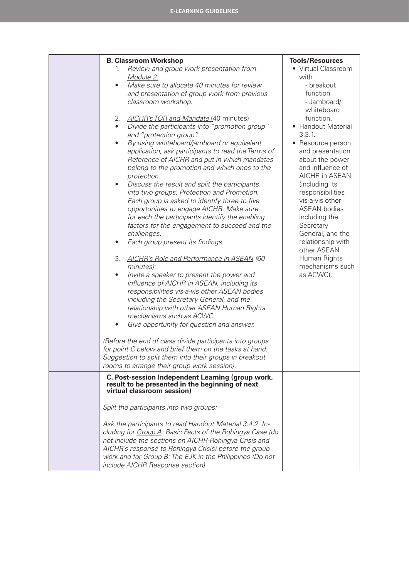| <b>B. Classroom Workshop</b><br>Review and group work presentation from<br>1.<br>Module 2:<br>Make sure to allocate 40 minutes for review<br>$\bullet$<br>and presentation of group work from previous<br>classroom workshop.<br>2.<br><b>AICHR's TOR and Mandate (40 minutes)</b><br>Divide the participants into "promotion group"<br>$\bullet$<br>and "protection group".<br>By using whiteboard/jamboard or equivalent<br>$\bullet$<br>application, ask participants to read the Terms of<br>Reference of AICHR and put in which mandates<br>belong to the promotion and which ones to the<br>protection.<br>Discuss the result and split the participants<br>$\bullet$<br>into two groups: Protection and Promotion.<br>Each group is asked to identify three to five<br>opportunities to engage AICHR. Make sure<br>for each the participants identify the enabling<br>factors for the engagement to succeed and the<br>challenges.<br>Each group present its findings.<br>$\bullet$<br>3.<br>AICHR's Role and Performance in ASEAN (60<br>minutes):<br>Invite a speaker to present the power and<br>$\bullet$<br>influence of AICHR in ASEAN, including its<br>responsibilities vis-a-vis other ASEAN bodies<br>including the Secretary General, and the<br>relationship with other ASEAN Human Rights<br>mechanisms such as ACWC. | <b>Tools/Resources</b><br>• Virtual Classroom<br>with<br>- breakout<br>function<br>- Jamboard/<br>whiteboard<br>function.<br>• Handout Material<br>3.3.1.<br>• Resource person<br>and presentation<br>about the power<br>and influence of<br>AICHR in ASEAN<br>(including its<br>responsibilities<br>vis-a-vis other<br><b>ASEAN</b> bodies<br>including the<br>Secretary<br>General, and the<br>relationship with<br>other ASEAN<br>Human Rights<br>mechanisms such<br>as ACWC). |
|-------------------------------------------------------------------------------------------------------------------------------------------------------------------------------------------------------------------------------------------------------------------------------------------------------------------------------------------------------------------------------------------------------------------------------------------------------------------------------------------------------------------------------------------------------------------------------------------------------------------------------------------------------------------------------------------------------------------------------------------------------------------------------------------------------------------------------------------------------------------------------------------------------------------------------------------------------------------------------------------------------------------------------------------------------------------------------------------------------------------------------------------------------------------------------------------------------------------------------------------------------------------------------------------------------------------------------------------|-----------------------------------------------------------------------------------------------------------------------------------------------------------------------------------------------------------------------------------------------------------------------------------------------------------------------------------------------------------------------------------------------------------------------------------------------------------------------------------|
| Give opportunity for question and answer.<br>$\bullet$<br>(Before the end of class divide participants into groups<br>for point C below and brief them on the tasks at hand.<br>Suggestion to split them into their groups in breakout<br>rooms to arrange their group work session).                                                                                                                                                                                                                                                                                                                                                                                                                                                                                                                                                                                                                                                                                                                                                                                                                                                                                                                                                                                                                                                     |                                                                                                                                                                                                                                                                                                                                                                                                                                                                                   |
| C. Post-session Independent Learning (group work,<br>result to be presented in the beginning of next<br>virtual classroom session)<br>Split the participants into two groups:<br>Ask the participants to read Handout Material 3.4.2. In-<br>cluding for Group A: Basic Facts of the Rohingya Case (do<br>not include the sections on AICHR-Rohingya Crisis and<br>AICHR's response to Rohingya Crisis) before the group<br>work and for Group B: The EJK in the Philippines (Do not<br>include AICHR Response section).                                                                                                                                                                                                                                                                                                                                                                                                                                                                                                                                                                                                                                                                                                                                                                                                                  |                                                                                                                                                                                                                                                                                                                                                                                                                                                                                   |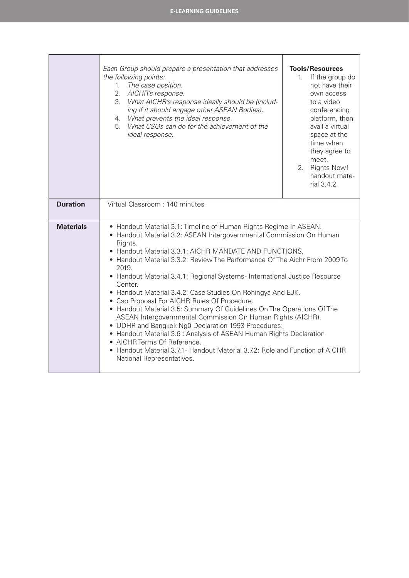|                  | Each Group should prepare a presentation that addresses<br>the following points:<br>The case position.<br>1.<br>2. AICHR's response.<br>3. What AICHR's response ideally should be (includ-<br>ing if it should engage other ASEAN Bodies).<br>4. What prevents the ideal response.<br>5. What CSOs can do for the achievement of the<br>ideal response.                                                                                                                                                                                                                                                                                                                                                                                                                                                                                                                                                                         | <b>Tools/Resources</b><br>If the group do<br>$1_{\cdot}$<br>not have their<br>own access<br>to a video<br>conferencing<br>platform, then<br>avail a virtual<br>space at the<br>time when<br>they agree to<br>meet.<br>2. Rights Now!<br>handout mate-<br>rial 3.4.2. |
|------------------|----------------------------------------------------------------------------------------------------------------------------------------------------------------------------------------------------------------------------------------------------------------------------------------------------------------------------------------------------------------------------------------------------------------------------------------------------------------------------------------------------------------------------------------------------------------------------------------------------------------------------------------------------------------------------------------------------------------------------------------------------------------------------------------------------------------------------------------------------------------------------------------------------------------------------------|----------------------------------------------------------------------------------------------------------------------------------------------------------------------------------------------------------------------------------------------------------------------|
| <b>Duration</b>  | Virtual Classroom: 140 minutes                                                                                                                                                                                                                                                                                                                                                                                                                                                                                                                                                                                                                                                                                                                                                                                                                                                                                                   |                                                                                                                                                                                                                                                                      |
| <b>Materials</b> | • Handout Material 3.1: Timeline of Human Rights Regime In ASEAN.<br>• Handout Material 3.2: ASEAN Intergovernmental Commission On Human<br>Rights.<br>• Handout Material 3.3.1: AICHR MANDATE AND FUNCTIONS.<br>• Handout Material 3.3.2: Review The Performance Of The Aichr From 2009 To<br>2019.<br>• Handout Material 3.4.1: Regional Systems- International Justice Resource<br>Center.<br>• Handout Material 3.4.2: Case Studies On Rohingya And EJK.<br>• Cso Proposal For AICHR Rules Of Procedure.<br>• Handout Material 3.5: Summary Of Guidelines On The Operations Of The<br>ASEAN Intergovernmental Commission On Human Rights (AICHR).<br>• UDHR and Bangkok Ng0 Declaration 1993 Procedures:<br>• Handout Material 3.6 : Analysis of ASEAN Human Rights Declaration<br>• AICHR Terms Of Reference.<br>• Handout Material 3.7.1 - Handout Material 3.7.2: Role and Function of AICHR<br>National Representatives. |                                                                                                                                                                                                                                                                      |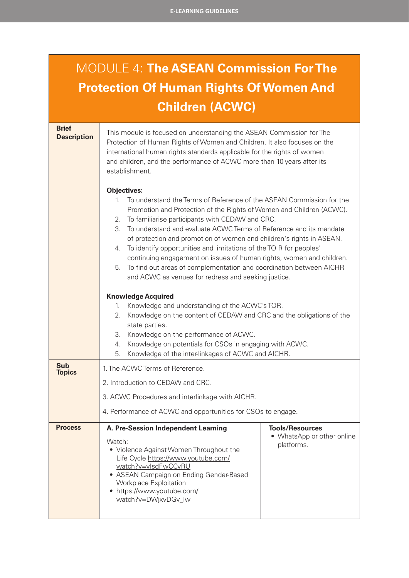| MODULE 4: The ASEAN Commission For The         |
|------------------------------------------------|
| <b>Protection Of Human Rights Of Women And</b> |
| Children (ACWC)                                |

| <b>Brief</b><br><b>Description</b> | This module is focused on understanding the ASEAN Commission for The<br>Protection of Human Rights of Women and Children. It also focuses on the<br>international human rights standards applicable for the rights of women<br>and children, and the performance of ACWC more than 10 years after its<br>establishment.                                                                                                                                                                                                                                                                                                                                                       |  |  |
|------------------------------------|-------------------------------------------------------------------------------------------------------------------------------------------------------------------------------------------------------------------------------------------------------------------------------------------------------------------------------------------------------------------------------------------------------------------------------------------------------------------------------------------------------------------------------------------------------------------------------------------------------------------------------------------------------------------------------|--|--|
|                                    | <b>Objectives:</b><br>To understand the Terms of Reference of the ASEAN Commission for the<br>1.<br>Promotion and Protection of the Rights of Women and Children (ACWC).<br>To familiarise participants with CEDAW and CRC.<br>2.<br>To understand and evaluate ACWC Terms of Reference and its mandate<br>3.<br>of protection and promotion of women and children's rights in ASEAN.<br>To identify opportunities and limitations of the TO R for peoples'<br>4.<br>continuing engagement on issues of human rights, women and children.<br>To find out areas of complementation and coordination between AICHR<br>5.<br>and ACWC as venues for redress and seeking justice. |  |  |
|                                    | <b>Knowledge Acquired</b><br>Knowledge and understanding of the ACWC's TOR.<br>1.<br>Knowledge on the content of CEDAW and CRC and the obligations of the<br>2.<br>state parties.<br>Knowledge on the performance of ACWC.<br>3.<br>Knowledge on potentials for CSOs in engaging with ACWC.<br>4.<br>5.<br>Knowledge of the inter-linkages of ACWC and AICHR.                                                                                                                                                                                                                                                                                                                 |  |  |
| Sub<br><b>Topics</b>               | 1. The ACWC Terms of Reference.<br>2. Introduction to CEDAW and CRC.<br>3. ACWC Procedures and interlinkage with AICHR.<br>4. Performance of ACWC and opportunities for CSOs to engage.                                                                                                                                                                                                                                                                                                                                                                                                                                                                                       |  |  |
| <b>Process</b>                     | A. Pre-Session Independent Learning<br><b>Tools/Resources</b><br>• WhatsApp or other online<br>Watch:<br>platforms.<br>• Violence Against Women Throughout the<br>Life Cycle https://www.youtube.com/                                                                                                                                                                                                                                                                                                                                                                                                                                                                         |  |  |

[watch?v=vIsdFwCCyRU](https://www.youtube.com/watch?v=vIsdFwCCyRU)

Workplace Exploitation • [https://www.youtube.com/](https://www.youtube.com/watch?v=DWjxvDGv_lw) [watch?v=DWjxvDGv\\_lw](https://www.youtube.com/watch?v=DWjxvDGv_lw)

• ASEAN Campaign on Ending Gender-Based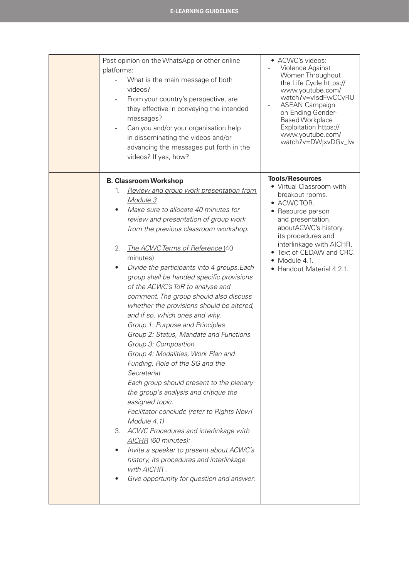| Post opinion on the WhatsApp or other online<br>platforms:<br>What is the main message of both<br>videos?<br>From your country's perspective, are<br>they effective in conveying the intended<br>messages?<br>Can you and/or your organisation help<br>in disseminating the videos and/or<br>advancing the messages put forth in the<br>videos? If yes, how?                                                                                                                                                                                                                                                                                                                                                                                                                                                                                                                                                                                                                                                                                                                                                                                         | • ACWC's videos:<br>Violence Against<br>Women Throughout<br>the Life Cycle https://<br>www.youtube.com/<br>watch?v=vlsdFwCCyRU<br><b>ASEAN Campaign</b><br>on Ending Gender-<br><b>Based Workplace</b><br>Exploitation https://<br>www.youtube.com/<br>watch?v=DWjxvDGv_lw |
|------------------------------------------------------------------------------------------------------------------------------------------------------------------------------------------------------------------------------------------------------------------------------------------------------------------------------------------------------------------------------------------------------------------------------------------------------------------------------------------------------------------------------------------------------------------------------------------------------------------------------------------------------------------------------------------------------------------------------------------------------------------------------------------------------------------------------------------------------------------------------------------------------------------------------------------------------------------------------------------------------------------------------------------------------------------------------------------------------------------------------------------------------|----------------------------------------------------------------------------------------------------------------------------------------------------------------------------------------------------------------------------------------------------------------------------|
| <b>B. Classroom Workshop</b><br>Review and group work presentation from<br>1.<br>Module 3<br>Make sure to allocate 40 minutes for<br>$\bullet$<br>review and presentation of group work<br>from the previous classroom workshop.<br>The ACWC Terms of Reference (40<br>2.<br>minutes)<br>Divide the participants into 4 groups. Each<br>$\bullet$<br>group shall be handed specific provisions<br>of the ACWC's ToR to analyse and<br>comment. The group should also discuss<br>whether the provisions should be altered,<br>and if so, which ones and why.<br>Group 1: Purpose and Principles<br>Group 2: Status, Mandate and Functions<br>Group 3: Composition<br>Group 4: Modalities, Work Plan and<br>Funding, Role of the SG and the<br>Secretariat<br>Each group should present to the plenary<br>the group's analysis and critique the<br>assigned topic.<br>Facilitator conclude (refer to Rights Now!<br>Module 4.1)<br>3. ACWC Procedures and interlinkage with<br>AICHR (60 minutes):<br>Invite a speaker to present about ACWC's<br>history, its procedures and interlinkage<br>with AICHR.<br>Give opportunity for question and answer: | <b>Tools/Resources</b><br>• Virtual Classroom with<br>breakout rooms.<br>• ACWCTOR.<br>Resource person<br>and presentation.<br>aboutACWC's history,<br>its procedures and<br>interlinkage with AICHR.<br>Text of CEDAW and CRC.<br>Module 4.1.<br>Handout Material 4.2.1.  |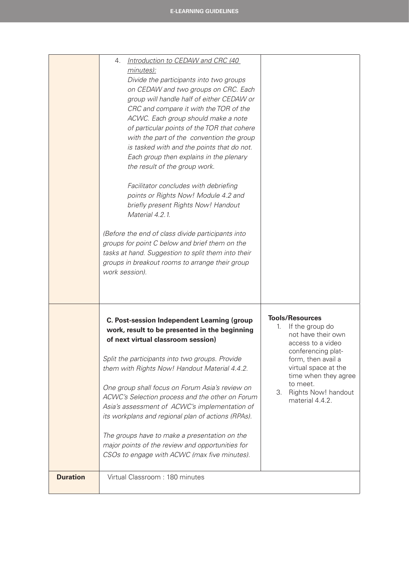|                 | Introduction to CEDAW and CRC (40<br>4.<br>minutes):<br>Divide the participants into two groups<br>on CEDAW and two groups on CRC. Each<br>group will handle half of either CEDAW or<br>CRC and compare it with the TOR of the<br>ACWC. Each group should make a note<br>of particular points of the TOR that cohere<br>with the part of the convention the group<br>is tasked with and the points that do not.<br>Each group then explains in the plenary<br>the result of the group work.<br>Facilitator concludes with debriefing<br>points or Rights Now! Module 4.2 and<br>briefly present Rights Now! Handout<br>Material 4.2.1.<br>(Before the end of class divide participants into<br>groups for point C below and brief them on the<br>tasks at hand. Suggestion to split them into their<br>groups in breakout rooms to arrange their group<br>work session). |                                                                                                                                                                                                                                                    |
|-----------------|--------------------------------------------------------------------------------------------------------------------------------------------------------------------------------------------------------------------------------------------------------------------------------------------------------------------------------------------------------------------------------------------------------------------------------------------------------------------------------------------------------------------------------------------------------------------------------------------------------------------------------------------------------------------------------------------------------------------------------------------------------------------------------------------------------------------------------------------------------------------------|----------------------------------------------------------------------------------------------------------------------------------------------------------------------------------------------------------------------------------------------------|
|                 | <b>C. Post-session Independent Learning (group</b><br>work, result to be presented in the beginning<br>of next virtual classroom session)<br>Split the participants into two groups. Provide<br>them with Rights Now! Handout Material 4.4.2.<br>One group shall focus on Forum Asia's review on<br>ACWC's Selection process and the other on Forum<br>Asia's assessment of ACWC's implementation of<br>its workplans and regional plan of actions (RPAs).<br>The groups have to make a presentation on the<br>major points of the review and opportunities for<br>CSOs to engage with ACWC (max five minutes).                                                                                                                                                                                                                                                          | <b>Tools/Resources</b><br>If the group do<br>1.<br>not have their own<br>access to a video<br>conferencing plat-<br>form, then avail a<br>virtual space at the<br>time when they agree<br>to meet.<br>Rights Now! handout<br>3.<br>material 4.4.2. |
| <b>Duration</b> | Virtual Classroom: 180 minutes                                                                                                                                                                                                                                                                                                                                                                                                                                                                                                                                                                                                                                                                                                                                                                                                                                           |                                                                                                                                                                                                                                                    |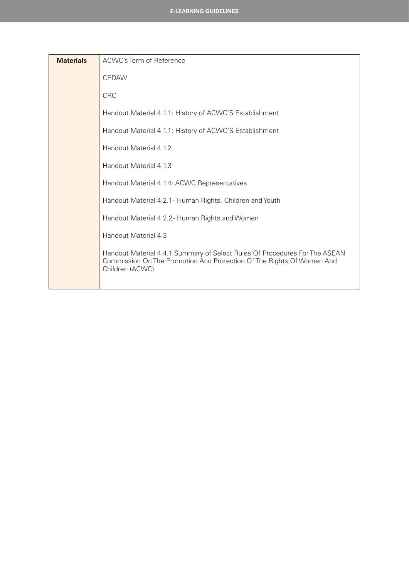| <b>Materials</b> | ACWC's Term of Reference                                                                                                                                                |
|------------------|-------------------------------------------------------------------------------------------------------------------------------------------------------------------------|
|                  | <b>CEDAW</b>                                                                                                                                                            |
|                  | <b>CRC</b>                                                                                                                                                              |
|                  | Handout Material 4.1.1: History of ACWC'S Establishment                                                                                                                 |
|                  | Handout Material 4.1.1: History of ACWC'S Establishment                                                                                                                 |
|                  | Handout Material 4.1.2                                                                                                                                                  |
|                  | Handout Material 4.1.3                                                                                                                                                  |
|                  | Handout Material 4.1.4: ACWC Representatives                                                                                                                            |
|                  | Handout Material 4.2.1 - Human Rights, Children and Youth                                                                                                               |
|                  | Handout Material 4.2.2- Human Rights and Women                                                                                                                          |
|                  | Handout Material 4.3                                                                                                                                                    |
|                  | Handout Material 4.4.1 Summary of Select Rules Of Procedures For The ASEAN<br>Commission On The Promotion And Protection Of The Rights Of Women And<br>Children (ACWC). |
|                  |                                                                                                                                                                         |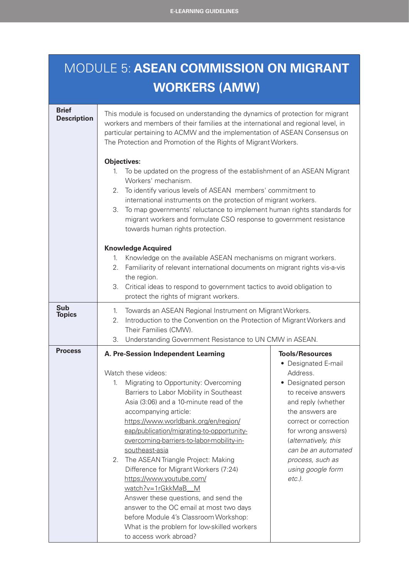#### MODULE 5: **ASEAN COMMISSION ON MIGRANT WORKERS (AMW)**

| <b>Brief</b><br><b>Description</b> | This module is focused on understanding the dynamics of protection for migrant<br>workers and members of their families at the international and regional level, in<br>particular pertaining to ACMW and the implementation of ASEAN Consensus on<br>The Protection and Promotion of the Rights of Migrant Workers.                                                                                                                                                                                                                                                                                                                                                                                                     |                                                                                                                                                                                                                                                                                                  |  |
|------------------------------------|-------------------------------------------------------------------------------------------------------------------------------------------------------------------------------------------------------------------------------------------------------------------------------------------------------------------------------------------------------------------------------------------------------------------------------------------------------------------------------------------------------------------------------------------------------------------------------------------------------------------------------------------------------------------------------------------------------------------------|--------------------------------------------------------------------------------------------------------------------------------------------------------------------------------------------------------------------------------------------------------------------------------------------------|--|
|                                    | <b>Objectives:</b><br>To be updated on the progress of the establishment of an ASEAN Migrant<br>1.<br>Workers' mechanism.<br>To identify various levels of ASEAN members' commitment to<br>2.<br>international instruments on the protection of migrant workers.<br>To map governments' reluctance to implement human rights standards for<br>3.<br>migrant workers and formulate CSO response to government resistance<br>towards human rights protection.                                                                                                                                                                                                                                                             |                                                                                                                                                                                                                                                                                                  |  |
|                                    | <b>Knowledge Acquired</b><br>Knowledge on the available ASEAN mechanisms on migrant workers.<br>1.<br>Familiarity of relevant international documents on migrant rights vis-a-vis<br>2.<br>the region.<br>Critical ideas to respond to government tactics to avoid obligation to<br>3.<br>protect the rights of migrant workers.                                                                                                                                                                                                                                                                                                                                                                                        |                                                                                                                                                                                                                                                                                                  |  |
| <b>Sub</b><br><b>Topics</b>        | Towards an ASEAN Regional Instrument on Migrant Workers.<br>1.<br>Introduction to the Convention on the Protection of Migrant Workers and<br>2.<br>Their Families (CMW).<br>Understanding Government Resistance to UN CMW in ASEAN.<br>3.                                                                                                                                                                                                                                                                                                                                                                                                                                                                               |                                                                                                                                                                                                                                                                                                  |  |
| <b>Process</b>                     | A. Pre-Session Independent Learning<br>Watch these videos:<br>Migrating to Opportunity: Overcoming<br>1.<br>Barriers to Labor Mobility in Southeast<br>Asia (3:06) and a 10-minute read of the<br>accompanying article:<br>https://www.worldbank.org/en/region/<br>eap/publication/migrating-to-opportunity-<br>overcoming-barriers-to-labor-mobility-in-<br>southeast-asia<br>The ASEAN Triangle Project: Making<br>2.<br>Difference for Migrant Workers (7:24)<br>https://www.youtube.com/<br>watch?v=1rGkkMaB_M<br>Answer these questions, and send the<br>answer to the OC email at most two days<br>before Module 4's Classroom Workshop:<br>What is the problem for low-skilled workers<br>to access work abroad? | <b>Tools/Resources</b><br>• Designated E-mail<br>Address.<br>• Designated person<br>to receive answers<br>and reply (whether<br>the answers are<br>correct or correction<br>for wrong answers)<br>(alternatively, this<br>can be an automated<br>process, such as<br>using google form<br>etc.). |  |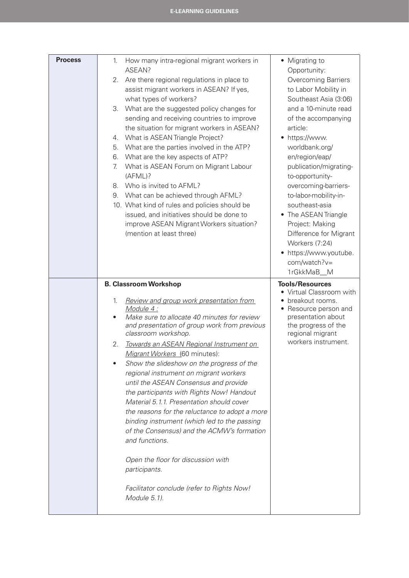| <b>Process</b> | How many intra-regional migrant workers in<br>1.<br>ASEAN?<br>Are there regional regulations in place to<br>2.<br>assist migrant workers in ASEAN? If yes,<br>what types of workers?<br>What are the suggested policy changes for<br>3.<br>sending and receiving countries to improve<br>the situation for migrant workers in ASEAN?<br>What is ASEAN Triangle Project?<br>4.<br>What are the parties involved in the ATP?<br>5.<br>What are the key aspects of ATP?<br>6.<br>What is ASEAN Forum on Migrant Labour<br>7.<br>(AFML)?<br>Who is invited to AFML?<br>8.<br>What can be achieved through AFML?<br>9.<br>10. What kind of rules and policies should be<br>issued, and initiatives should be done to<br>improve ASEAN Migrant Workers situation?<br>(mention at least three)                          | • Migrating to<br>Opportunity:<br>Overcoming Barriers<br>to Labor Mobility in<br>Southeast Asia (3:06)<br>and a 10-minute read<br>of the accompanying<br>article:<br>• https://www.<br>worldbank.org/<br>en/region/eap/<br>publication/migrating-<br>to-opportunity-<br>overcoming-barriers-<br>to-labor-mobility-in-<br>southeast-asia<br>• The ASEAN Triangle<br>Project: Making<br>Difference for Migrant<br>Workers (7:24)<br>• https://www.youtube.<br>com/watch?v=<br>1rGkkMaB_M |
|----------------|------------------------------------------------------------------------------------------------------------------------------------------------------------------------------------------------------------------------------------------------------------------------------------------------------------------------------------------------------------------------------------------------------------------------------------------------------------------------------------------------------------------------------------------------------------------------------------------------------------------------------------------------------------------------------------------------------------------------------------------------------------------------------------------------------------------|----------------------------------------------------------------------------------------------------------------------------------------------------------------------------------------------------------------------------------------------------------------------------------------------------------------------------------------------------------------------------------------------------------------------------------------------------------------------------------------|
|                | <b>B. Classroom Workshop</b><br>Review and group work presentation from<br>1.<br>Module 4:<br>Make sure to allocate 40 minutes for review<br>$\bullet$<br>and presentation of group work from previous<br>classroom workshop.<br>Towards an ASEAN Regional Instrument on<br>2.<br>Migrant Workers (60 minutes):<br>Show the slideshow on the progress of the<br>regional instrument on migrant workers<br>until the ASEAN Consensus and provide<br>the participants with Rights Now! Handout<br>Material 5.1.1. Presentation should cover<br>the reasons for the reluctance to adopt a more<br>binding instrument (which led to the passing<br>of the Consensus) and the ACMW's formation<br>and functions.<br>Open the floor for discussion with<br>participants.<br>Facilitator conclude (refer to Rights Now! | <b>Tools/Resources</b><br>• Virtual Classroom with<br>breakout rooms.<br>• Resource person and<br>presentation about<br>the progress of the<br>regional migrant<br>workers instrument.                                                                                                                                                                                                                                                                                                 |
|                | Module 5.1).                                                                                                                                                                                                                                                                                                                                                                                                                                                                                                                                                                                                                                                                                                                                                                                                     |                                                                                                                                                                                                                                                                                                                                                                                                                                                                                        |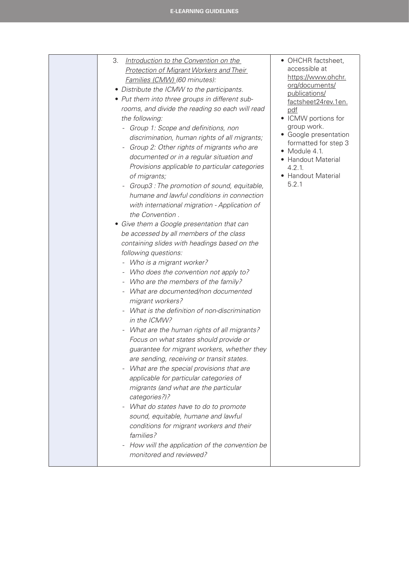| 3.<br>Introduction to the Convention on the<br><b>Protection of Migrant Workers and Their</b><br>Families (CMW) (60 minutes):<br>• Distribute the ICMW to the participants.<br>• Put them into three groups in different sub-<br>rooms, and divide the reading so each will read<br>the following:<br>- Group 1: Scope and definitions, non<br>discrimination, human rights of all migrants;<br>Group 2: Other rights of migrants who are<br>documented or in a regular situation and<br>Provisions applicable to particular categories<br>of migrants;<br>Group3 : The promotion of sound, equitable,<br>humane and lawful conditions in connection<br>with international migration - Application of<br>the Convention.<br>• Give them a Google presentation that can<br>be accessed by all members of the class<br>containing slides with headings based on the<br>following questions:<br>- Who is a migrant worker?<br>- Who does the convention not apply to?<br>- Who are the members of the family?<br>- What are documented/non documented<br>migrant workers?<br>- What is the definition of non-discrimination<br>in the ICMW?<br>What are the human rights of all migrants?<br>Focus on what states should provide or<br>guarantee for migrant workers, whether they<br>are sending, receiving or transit states.<br>What are the special provisions that are<br>applicable for particular categories of<br>migrants (and what are the particular<br>categories?)?<br>What do states have to do to promote<br>sound, equitable, humane and lawful<br>conditions for migrant workers and their<br>families?<br>How will the application of the convention be<br>monitored and reviewed? | • OHCHR factsheet,<br>accessible at<br>https://www.ohchr.<br>org/documents/<br>publications/<br>factsheet24rev.1en.<br>pdf<br>• ICMW portions for<br>group work.<br>• Google presentation<br>formatted for step 3<br>• Module 4.1.<br>• Handout Material<br>4.2.1.<br>• Handout Material<br>5.2.1 |
|---------------------------------------------------------------------------------------------------------------------------------------------------------------------------------------------------------------------------------------------------------------------------------------------------------------------------------------------------------------------------------------------------------------------------------------------------------------------------------------------------------------------------------------------------------------------------------------------------------------------------------------------------------------------------------------------------------------------------------------------------------------------------------------------------------------------------------------------------------------------------------------------------------------------------------------------------------------------------------------------------------------------------------------------------------------------------------------------------------------------------------------------------------------------------------------------------------------------------------------------------------------------------------------------------------------------------------------------------------------------------------------------------------------------------------------------------------------------------------------------------------------------------------------------------------------------------------------------------------------------------------------------------------------------------------------------------|---------------------------------------------------------------------------------------------------------------------------------------------------------------------------------------------------------------------------------------------------------------------------------------------------|
|                                                                                                                                                                                                                                                                                                                                                                                                                                                                                                                                                                                                                                                                                                                                                                                                                                                                                                                                                                                                                                                                                                                                                                                                                                                                                                                                                                                                                                                                                                                                                                                                                                                                                                   |                                                                                                                                                                                                                                                                                                   |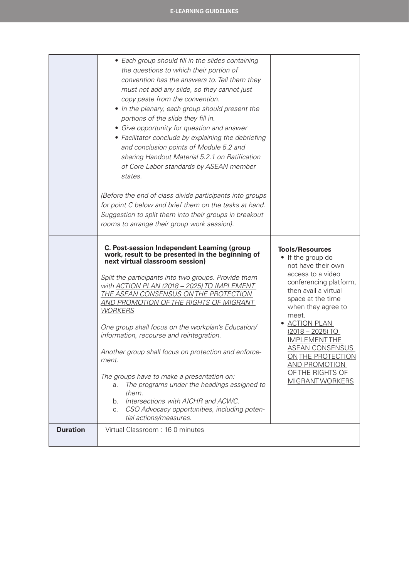|                 | • Each group should fill in the slides containing<br>the questions to which their portion of<br>convention has the answers to. Tell them they<br>must not add any slide, so they cannot just<br>copy paste from the convention.<br>• In the plenary, each group should present the<br>portions of the slide they fill in.<br>Give opportunity for question and answer<br>• Facilitator conclude by explaining the debriefing<br>and conclusion points of Module 5.2 and<br>sharing Handout Material 5.2.1 on Ratification<br>of Core Labor standards by ASEAN member<br>states.<br>(Before the end of class divide participants into groups<br>for point C below and brief them on the tasks at hand.<br>Suggestion to split them into their groups in breakout<br>rooms to arrange their group work session).  |                                                                                                                                                                                                                                                                                                                                                                          |
|-----------------|-----------------------------------------------------------------------------------------------------------------------------------------------------------------------------------------------------------------------------------------------------------------------------------------------------------------------------------------------------------------------------------------------------------------------------------------------------------------------------------------------------------------------------------------------------------------------------------------------------------------------------------------------------------------------------------------------------------------------------------------------------------------------------------------------------------------|--------------------------------------------------------------------------------------------------------------------------------------------------------------------------------------------------------------------------------------------------------------------------------------------------------------------------------------------------------------------------|
| <b>Duration</b> | <b>C. Post-session Independent Learning (group</b><br>work, result to be presented in the beginning of<br>next virtual classroom session)<br>Split the participants into two groups. Provide them<br>with ACTION PLAN (2018 - 2025) TO IMPLEMENT<br>THE ASEAN CONSENSUS ON THE PROTECTION<br><b>AND PROMOTION OF THE RIGHTS OF MIGRANT</b><br><b>WORKERS</b><br>One group shall focus on the workplan's Education/<br>information, recourse and reintegration.<br>Another group shall focus on protection and enforce-<br>ment.<br>The groups have to make a presentation on:<br>The programs under the headings assigned to<br>a.<br>them.<br>Intersections with AICHR and ACWC.<br>b.<br>CSO Advocacy opportunities, including poten-<br>$C_{1}$<br>tial actions/measures.<br>Virtual Classroom: 16 0 minutes | <b>Tools/Resources</b><br>• If the group do<br>not have their own<br>access to a video<br>conferencing platform,<br>then avail a virtual<br>space at the time<br>when they agree to<br>meet.<br>• ACTION PLAN<br>$(2018 - 2025)$ TO<br><b>IMPLEMENTTHE</b><br><b>ASEAN CONSENSUS</b><br>ON THE PROTECTION<br><b>AND PROMOTION</b><br>OF THE RIGHTS OF<br>MIGRANT WORKERS |
|                 |                                                                                                                                                                                                                                                                                                                                                                                                                                                                                                                                                                                                                                                                                                                                                                                                                 |                                                                                                                                                                                                                                                                                                                                                                          |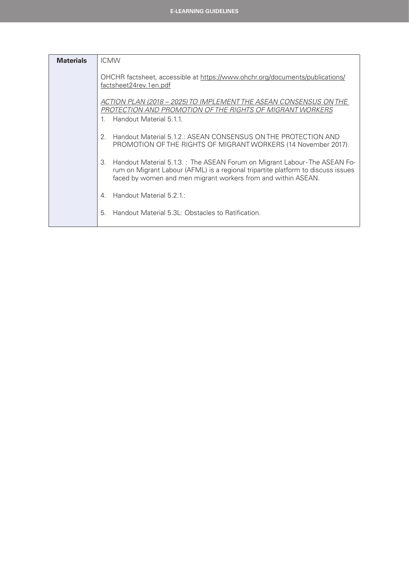| <b>Materials</b> | <b>ICMW</b>                                                                                                                                                                                                                          |  |  |
|------------------|--------------------------------------------------------------------------------------------------------------------------------------------------------------------------------------------------------------------------------------|--|--|
|                  | OHCHR factsheet, accessible at https://www.ohchr.org/documents/publications/<br>factsheet24rev.1en.pdf                                                                                                                               |  |  |
|                  | ACTION PLAN (2018 – 2025) TO IMPLEMENT THE ASEAN CONSENSUS ON THE<br>PROTECTION AND PROMOTION OF THE RIGHTS OF MIGRANT WORKERS<br>Handout Material 5.1.1.<br>1.                                                                      |  |  |
|                  | Handout Material 5.1.2.: ASEAN CONSENSUS ON THE PROTECTION AND<br>2.<br>PROMOTION OF THE RIGHTS OF MIGRANT WORKERS (14 November 2017).                                                                                               |  |  |
|                  | Handout Material 5.1.3. : The ASEAN Forum on Migrant Labour-The ASEAN Fo-<br>3.<br>rum on Migrant Labour (AFML) is a regional tripartite platform to discuss issues<br>faced by women and men migrant workers from and within ASEAN. |  |  |
|                  | Handout Material 5.2.1:<br>4.                                                                                                                                                                                                        |  |  |
|                  | Handout Material 5.3L: Obstacles to Ratification.<br>5.                                                                                                                                                                              |  |  |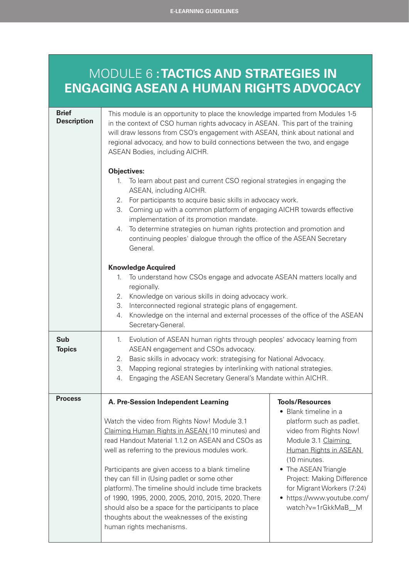#### MODULE 6 **: TACTICS AND STRATEGIES IN ENGAGING ASEAN A HUMAN RIGHTS ADVOCACY**

| <b>Brief</b><br><b>Description</b> | This module is an opportunity to place the knowledge imparted from Modules 1-5<br>in the context of CSO human rights advocacy in ASEAN. This part of the training<br>will draw lessons from CSO's engagement with ASEAN, think about national and<br>regional advocacy, and how to build connections between the two, and engage<br>ASEAN Bodies, including AICHR.                                                                                                                                                                                                                                   |                                                                                                                                                                                                                                                                                                               |  |
|------------------------------------|------------------------------------------------------------------------------------------------------------------------------------------------------------------------------------------------------------------------------------------------------------------------------------------------------------------------------------------------------------------------------------------------------------------------------------------------------------------------------------------------------------------------------------------------------------------------------------------------------|---------------------------------------------------------------------------------------------------------------------------------------------------------------------------------------------------------------------------------------------------------------------------------------------------------------|--|
|                                    | <b>Objectives:</b><br>To learn about past and current CSO regional strategies in engaging the<br>1.<br>ASEAN, including AICHR.<br>For participants to acquire basic skills in advocacy work.<br>2.<br>Coming up with a common platform of engaging AICHR towards effective<br>3.<br>implementation of its promotion mandate.<br>To determine strategies on human rights protection and promotion and<br>4.<br>continuing peoples' dialogue through the office of the ASEAN Secretary<br>General.                                                                                                     |                                                                                                                                                                                                                                                                                                               |  |
|                                    | <b>Knowledge Acquired</b><br>To understand how CSOs engage and advocate ASEAN matters locally and<br>1.<br>regionally.<br>Knowledge on various skills in doing advocacy work.<br>2.<br>Interconnected regional strategic plans of engagement.<br>3.<br>Knowledge on the internal and external processes of the office of the ASEAN<br>4.<br>Secretary-General.                                                                                                                                                                                                                                       |                                                                                                                                                                                                                                                                                                               |  |
| <b>Sub</b><br><b>Topics</b>        | Evolution of ASEAN human rights through peoples' advocacy learning from<br>1.<br>ASEAN engagement and CSOs advocacy.<br>Basic skills in advocacy work: strategising for National Advocacy.<br>2.<br>Mapping regional strategies by interlinking with national strategies.<br>3.<br>Engaging the ASEAN Secretary General's Mandate within AICHR.<br>4.                                                                                                                                                                                                                                                |                                                                                                                                                                                                                                                                                                               |  |
| <b>Process</b>                     | A. Pre-Session Independent Learning<br>Watch the video from Rights Now! Module 3.1<br>Claiming Human Rights in ASEAN (10 minutes) and<br>read Handout Material 1.1.2 on ASEAN and CSOs as<br>well as referring to the previous modules work.<br>Participants are given access to a blank timeline<br>they can fill in (Using padlet or some other<br>platform). The timeline should include time brackets<br>of 1990, 1995, 2000, 2005, 2010, 2015, 2020. There<br>should also be a space for the participants to place<br>thoughts about the weaknesses of the existing<br>human rights mechanisms. | <b>Tools/Resources</b><br>• Blank timeline in a<br>platform such as padlet.<br>video from Rights Now!<br>Module 3.1 Claiming<br>Human Rights in ASEAN<br>(10 minutes.<br>• The ASEAN Triangle<br>Project: Making Difference<br>for Migrant Workers (7:24)<br>• https://www.youtube.com/<br>watch?v=1rGkkMaB_M |  |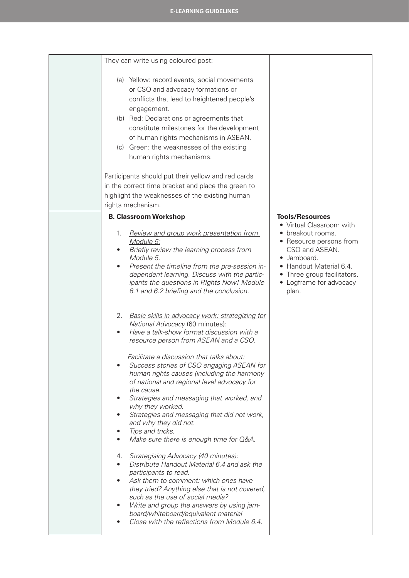| They can write using coloured post:                                                                                                                                                                                                                                                                                                                                                                                                                                                                                                                                                                                                                                                                                                                                                                                                                                                                                                                            |                                                                                                                                                                                                                           |
|----------------------------------------------------------------------------------------------------------------------------------------------------------------------------------------------------------------------------------------------------------------------------------------------------------------------------------------------------------------------------------------------------------------------------------------------------------------------------------------------------------------------------------------------------------------------------------------------------------------------------------------------------------------------------------------------------------------------------------------------------------------------------------------------------------------------------------------------------------------------------------------------------------------------------------------------------------------|---------------------------------------------------------------------------------------------------------------------------------------------------------------------------------------------------------------------------|
| (a) Yellow: record events, social movements<br>or CSO and advocacy formations or<br>conflicts that lead to heightened people's<br>engagement.<br>(b) Red: Declarations or agreements that<br>constitute milestones for the development<br>of human rights mechanisms in ASEAN.<br>(c) Green: the weaknesses of the existing<br>human rights mechanisms.<br>Participants should put their yellow and red cards<br>in the correct time bracket and place the green to<br>highlight the weaknesses of the existing human                                                                                                                                                                                                                                                                                                                                                                                                                                          |                                                                                                                                                                                                                           |
| rights mechanism.                                                                                                                                                                                                                                                                                                                                                                                                                                                                                                                                                                                                                                                                                                                                                                                                                                                                                                                                              |                                                                                                                                                                                                                           |
| <b>B. Classroom Workshop</b><br>Review and group work presentation from<br>1.<br>Module 5:<br>Briefly review the learning process from<br>٠<br>Module 5.<br>Present the timeline from the pre-session in-<br>$\bullet$<br>dependent learning. Discuss with the partic-<br>ipants the questions in RIghts Now! Module<br>6.1 and 6.2 briefing and the conclusion.                                                                                                                                                                                                                                                                                                                                                                                                                                                                                                                                                                                               | <b>Tools/Resources</b><br>• Virtual Classroom with<br>breakout rooms.<br>• Resource persons from<br>CSO and ASEAN.<br>· Jamboard.<br>Handout Material 6.4.<br>Three group facilitators.<br>Logframe for advocacy<br>plan. |
| 2.<br>Basic skills in advocacy work: strategizing for<br><b>National Advocacy (60 minutes):</b><br>Have a talk-show format discussion with a<br>$\bullet$<br>resource person from ASEAN and a CSO.<br>Facilitate a discussion that talks about:<br>Success stories of CSO engaging ASEAN for<br>human rights causes (including the harmony<br>of national and regional level advocacy for<br>the cause.<br>Strategies and messaging that worked, and<br>why they worked.<br>Strategies and messaging that did not work,<br>and why they did not.<br>Tips and tricks.<br>Make sure there is enough time for O&A.<br><b>Strategising Advocacy (40 minutes):</b><br>4.<br>Distribute Handout Material 6.4 and ask the<br>participants to read.<br>Ask them to comment: which ones have<br>they tried? Anything else that is not covered,<br>such as the use of social media?<br>Write and group the answers by using jam-<br>board/whiteboard/equivalent material |                                                                                                                                                                                                                           |
| Close with the reflections from Module 6.4.                                                                                                                                                                                                                                                                                                                                                                                                                                                                                                                                                                                                                                                                                                                                                                                                                                                                                                                    |                                                                                                                                                                                                                           |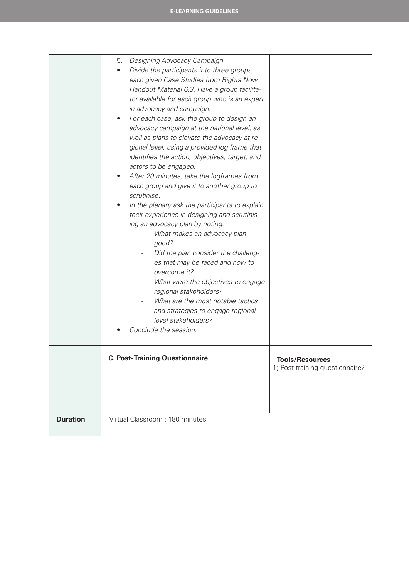|                 | 5.<br><b>Designing Advocacy Campaign</b><br>Divide the participants into three groups,<br>each given Case Studies from Rights Now<br>Handout Material 6.3. Have a group facilita-<br>tor available for each group who is an expert<br>in advocacy and campaign.<br>For each case, ask the group to design an<br>advocacy campaign at the national level, as<br>well as plans to elevate the advocacy at re-<br>gional level, using a provided log frame that<br>identifies the action, objectives, target, and<br>actors to be engaged.<br>After 20 minutes, take the logframes from<br>each group and give it to another group to<br>scrutinise.<br>In the plenary ask the participants to explain<br>their experience in designing and scrutinis-<br>ing an advocacy plan by noting:<br>What makes an advocacy plan<br>good?<br>Did the plan consider the challeng-<br>es that may be faced and how to<br>overcome it?<br>What were the objectives to engage<br>regional stakeholders?<br>What are the most notable tactics<br>and strategies to engage regional<br>level stakeholders?<br>Conclude the session. |                                                    |
|-----------------|--------------------------------------------------------------------------------------------------------------------------------------------------------------------------------------------------------------------------------------------------------------------------------------------------------------------------------------------------------------------------------------------------------------------------------------------------------------------------------------------------------------------------------------------------------------------------------------------------------------------------------------------------------------------------------------------------------------------------------------------------------------------------------------------------------------------------------------------------------------------------------------------------------------------------------------------------------------------------------------------------------------------------------------------------------------------------------------------------------------------|----------------------------------------------------|
|                 | <b>C. Post-Training Questionnaire</b>                                                                                                                                                                                                                                                                                                                                                                                                                                                                                                                                                                                                                                                                                                                                                                                                                                                                                                                                                                                                                                                                              | Tools/Resources<br>1; Post training questionnaire? |
| <b>Duration</b> | Virtual Classroom: 180 minutes                                                                                                                                                                                                                                                                                                                                                                                                                                                                                                                                                                                                                                                                                                                                                                                                                                                                                                                                                                                                                                                                                     |                                                    |